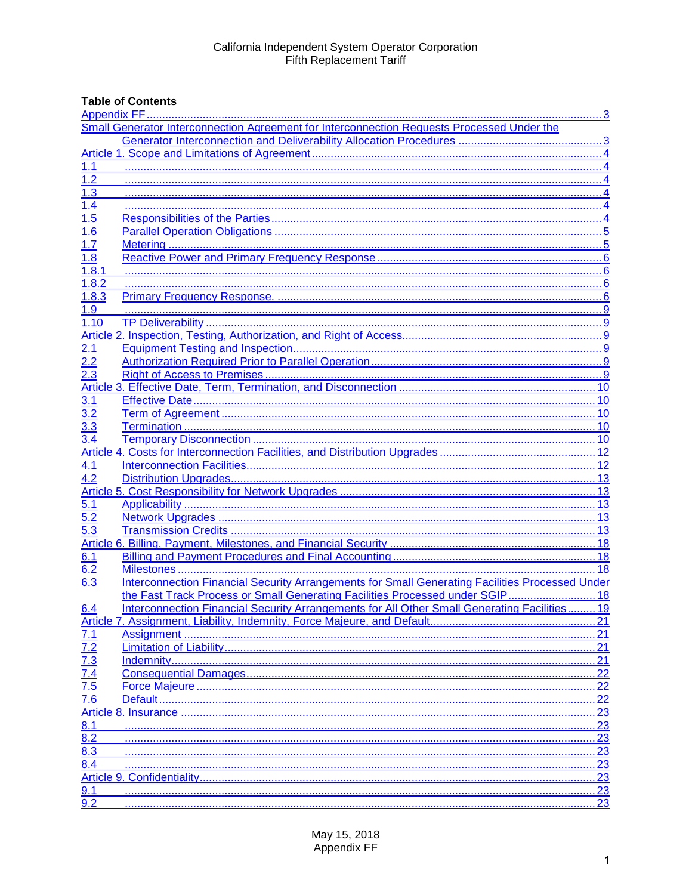# **Table of Contents**

| Small Generator Interconnection Agreement for Interconnection Requests Processed Under the |                                                                                                 |            |  |
|--------------------------------------------------------------------------------------------|-------------------------------------------------------------------------------------------------|------------|--|
|                                                                                            |                                                                                                 |            |  |
|                                                                                            |                                                                                                 |            |  |
| 1.1                                                                                        |                                                                                                 |            |  |
| 1.2                                                                                        |                                                                                                 |            |  |
| 1.3                                                                                        |                                                                                                 |            |  |
| 1.4                                                                                        |                                                                                                 |            |  |
| 1.5                                                                                        |                                                                                                 |            |  |
| 1.6                                                                                        |                                                                                                 |            |  |
| 1.7                                                                                        |                                                                                                 |            |  |
| 1.8                                                                                        |                                                                                                 |            |  |
| 1.8.1                                                                                      |                                                                                                 |            |  |
| 1.8.2                                                                                      |                                                                                                 |            |  |
| 1.8.3                                                                                      |                                                                                                 |            |  |
| 1.9                                                                                        |                                                                                                 |            |  |
| 1.10                                                                                       |                                                                                                 |            |  |
|                                                                                            |                                                                                                 |            |  |
| 2.1                                                                                        |                                                                                                 |            |  |
| $\overline{2.2}$                                                                           |                                                                                                 |            |  |
| 2.3                                                                                        |                                                                                                 |            |  |
|                                                                                            |                                                                                                 |            |  |
| 3.1                                                                                        |                                                                                                 |            |  |
| 3.2                                                                                        |                                                                                                 |            |  |
| $3.\overline{3}$                                                                           |                                                                                                 |            |  |
| 3.4                                                                                        |                                                                                                 |            |  |
|                                                                                            |                                                                                                 |            |  |
| 4.1                                                                                        |                                                                                                 |            |  |
| 4.2                                                                                        |                                                                                                 |            |  |
|                                                                                            |                                                                                                 |            |  |
|                                                                                            |                                                                                                 |            |  |
|                                                                                            |                                                                                                 |            |  |
| 5.3                                                                                        |                                                                                                 |            |  |
|                                                                                            |                                                                                                 |            |  |
| 6.1                                                                                        |                                                                                                 |            |  |
| 6.2                                                                                        |                                                                                                 |            |  |
| $6.\overline{3}$                                                                           | Interconnection Financial Security Arrangements for Small Generating Facilities Processed Under |            |  |
|                                                                                            | the Fast Track Process or Small Generating Facilities Processed under SGIP 18                   |            |  |
| 6.4                                                                                        | Interconnection Financial Security Arrangements for All Other Small Generating Facilities 19    |            |  |
|                                                                                            |                                                                                                 | 21         |  |
| 7.1                                                                                        |                                                                                                 |            |  |
|                                                                                            |                                                                                                 | 21         |  |
| $\frac{7.2}{7.3}$<br>$\frac{7.3}{7.4}$<br>$\frac{7.5}{7.6}$                                |                                                                                                 | 21         |  |
|                                                                                            |                                                                                                 | $\dots$ 22 |  |
|                                                                                            |                                                                                                 | 22         |  |
|                                                                                            |                                                                                                 | 22         |  |
|                                                                                            |                                                                                                 | 23         |  |
| 8.1                                                                                        |                                                                                                 | 23         |  |
| $8.\overline{2}$                                                                           |                                                                                                 | 23         |  |
| 8.3                                                                                        |                                                                                                 | .23        |  |
| 8.4                                                                                        |                                                                                                 | .23        |  |
|                                                                                            |                                                                                                 | .23        |  |
| 9.1                                                                                        |                                                                                                 | 23         |  |
| 9.2                                                                                        |                                                                                                 | .23        |  |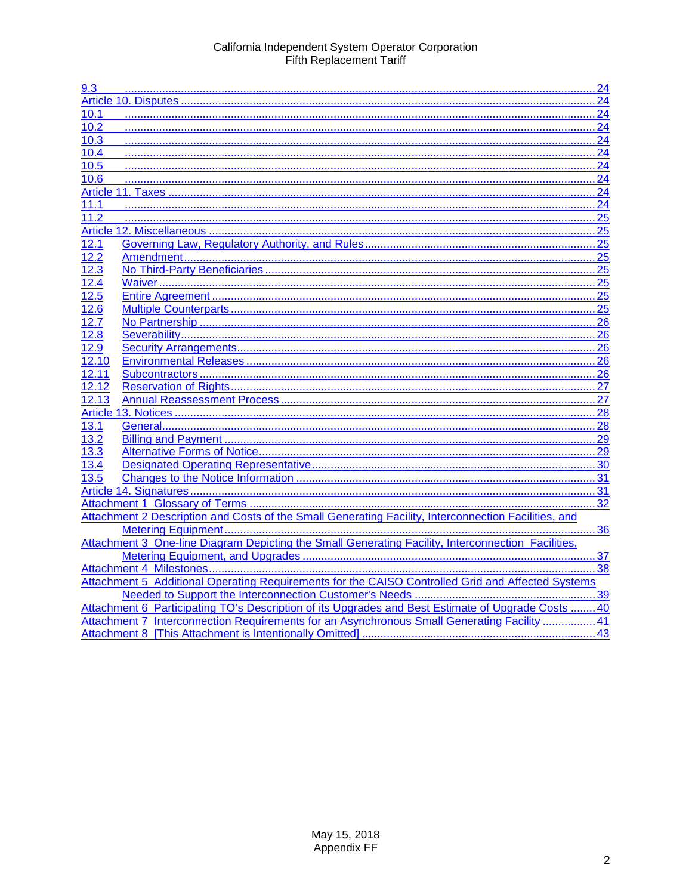| 9.3               |                                                                                                      |    |
|-------------------|------------------------------------------------------------------------------------------------------|----|
|                   |                                                                                                      |    |
| 10.1              |                                                                                                      |    |
| 10.2              |                                                                                                      |    |
| 10.3              |                                                                                                      | 24 |
| 10.4              |                                                                                                      |    |
| 10.5              |                                                                                                      |    |
| 10.6              |                                                                                                      |    |
|                   |                                                                                                      |    |
| 11.1              |                                                                                                      |    |
| 11.2              |                                                                                                      |    |
|                   |                                                                                                      |    |
| 12.1              |                                                                                                      |    |
| 12.2              |                                                                                                      |    |
| $12.\overline{3}$ |                                                                                                      |    |
| 12.4              |                                                                                                      |    |
| 12.5              |                                                                                                      |    |
| 12.6              |                                                                                                      |    |
| 12.7              |                                                                                                      |    |
| 12.8              |                                                                                                      |    |
| 12.9              |                                                                                                      |    |
| 12.10             |                                                                                                      |    |
| 12.11             |                                                                                                      |    |
| 12.12             |                                                                                                      |    |
| 12.13             |                                                                                                      |    |
|                   |                                                                                                      |    |
| 13.1              |                                                                                                      |    |
| 13.2              |                                                                                                      |    |
| 13.3              |                                                                                                      |    |
| 13.4              |                                                                                                      |    |
| 13.5              |                                                                                                      |    |
|                   |                                                                                                      |    |
|                   |                                                                                                      |    |
|                   | Attachment 2 Description and Costs of the Small Generating Facility, Interconnection Facilities, and |    |
|                   |                                                                                                      |    |
|                   | Attachment 3 One-line Diagram Depicting the Small Generating Facility, Interconnection Facilities,   |    |
|                   |                                                                                                      |    |
|                   |                                                                                                      |    |
|                   | Attachment 5 Additional Operating Requirements for the CAISO Controlled Grid and Affected Systems    |    |
|                   |                                                                                                      |    |
|                   | Attachment 6 Participating TO's Description of its Upgrades and Best Estimate of Upgrade Costs 40    |    |
|                   | Attachment 7 Interconnection Requirements for an Asynchronous Small Generating Facility  41          |    |
|                   |                                                                                                      | 43 |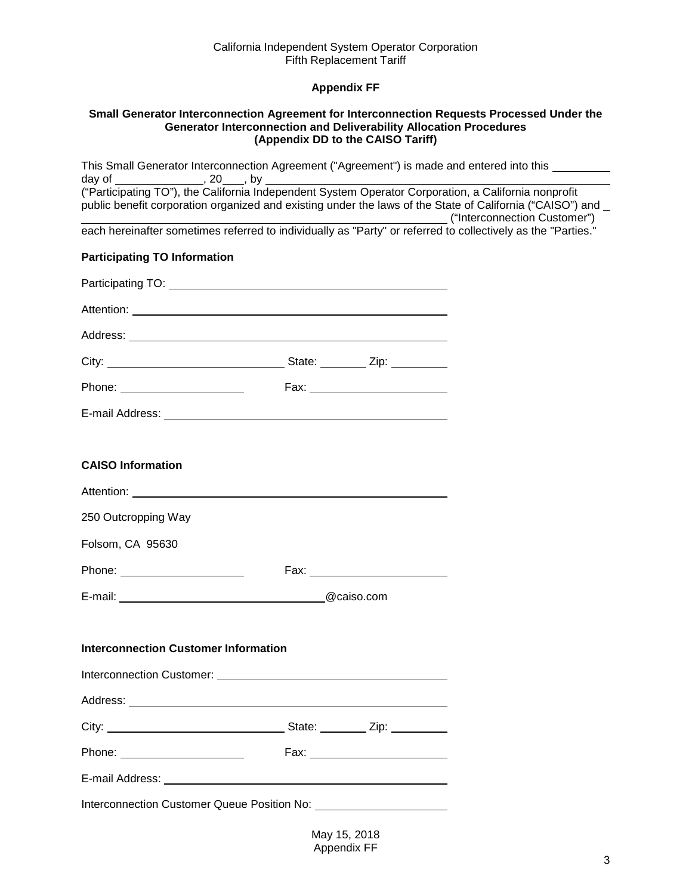# **Appendix FF**

#### <span id="page-2-1"></span><span id="page-2-0"></span>**Small Generator Interconnection Agreement for Interconnection Requests Processed Under the Generator Interconnection and Deliverability Allocation Procedures (Appendix DD to the CAISO Tariff)**

|                                             | This Small Generator Interconnection Agreement ("Agreement") is made and entered into this                    |
|---------------------------------------------|---------------------------------------------------------------------------------------------------------------|
|                                             | public benefit corporation organized and existing under the laws of the State of California ("CAISO") and _   |
|                                             | each hereinafter sometimes referred to individually as "Party" or referred to collectively as the "Parties."  |
| <b>Participating TO Information</b>         |                                                                                                               |
|                                             |                                                                                                               |
|                                             |                                                                                                               |
|                                             |                                                                                                               |
|                                             |                                                                                                               |
|                                             |                                                                                                               |
|                                             |                                                                                                               |
|                                             |                                                                                                               |
| <b>CAISO Information</b>                    |                                                                                                               |
|                                             |                                                                                                               |
| 250 Outcropping Way                         |                                                                                                               |
| Folsom, CA 95630                            |                                                                                                               |
| Phone: <u>www.community.com</u>             | Fax: 2008 2008 2012 2022 2023 2024 2025 2026 2027 2028 2029 2020 2021 2022 2023 2021 2022 2023 2024 2022 2023 |
| E-mail: @caiso.com                          |                                                                                                               |
|                                             |                                                                                                               |
| <b>Interconnection Customer Information</b> |                                                                                                               |
|                                             |                                                                                                               |
|                                             |                                                                                                               |
|                                             |                                                                                                               |
|                                             |                                                                                                               |
|                                             |                                                                                                               |
|                                             |                                                                                                               |

May 15, 2018 Appendix FF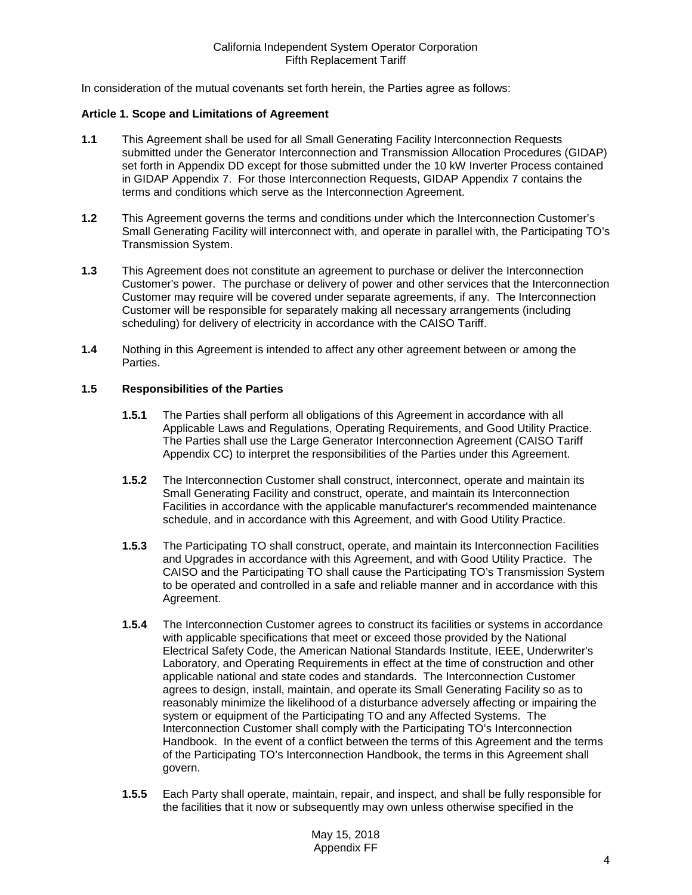In consideration of the mutual covenants set forth herein, the Parties agree as follows:

#### <span id="page-3-0"></span>**Article 1. Scope and Limitations of Agreement**

- <span id="page-3-1"></span>**1.1** This Agreement shall be used for all Small Generating Facility Interconnection Requests submitted under the Generator Interconnection and Transmission Allocation Procedures (GIDAP) set forth in Appendix DD except for those submitted under the 10 kW Inverter Process contained in GIDAP Appendix 7. For those Interconnection Requests, GIDAP Appendix 7 contains the terms and conditions which serve as the Interconnection Agreement.
- <span id="page-3-2"></span>**1.2** This Agreement governs the terms and conditions under which the Interconnection Customer's Small Generating Facility will interconnect with, and operate in parallel with, the Participating TO's Transmission System.
- <span id="page-3-3"></span>**1.3** This Agreement does not constitute an agreement to purchase or deliver the Interconnection Customer's power. The purchase or delivery of power and other services that the Interconnection Customer may require will be covered under separate agreements, if any. The Interconnection Customer will be responsible for separately making all necessary arrangements (including scheduling) for delivery of electricity in accordance with the CAISO Tariff.
- <span id="page-3-4"></span>**1.4** Nothing in this Agreement is intended to affect any other agreement between or among the Parties.

## <span id="page-3-5"></span>**1.5 Responsibilities of the Parties**

- **1.5.1** The Parties shall perform all obligations of this Agreement in accordance with all Applicable Laws and Regulations, Operating Requirements, and Good Utility Practice. The Parties shall use the Large Generator Interconnection Agreement (CAISO Tariff Appendix CC) to interpret the responsibilities of the Parties under this Agreement.
- **1.5.2** The Interconnection Customer shall construct, interconnect, operate and maintain its Small Generating Facility and construct, operate, and maintain its Interconnection Facilities in accordance with the applicable manufacturer's recommended maintenance schedule, and in accordance with this Agreement, and with Good Utility Practice.
- **1.5.3** The Participating TO shall construct, operate, and maintain its Interconnection Facilities and Upgrades in accordance with this Agreement, and with Good Utility Practice. The CAISO and the Participating TO shall cause the Participating TO's Transmission System to be operated and controlled in a safe and reliable manner and in accordance with this Agreement.
- **1.5.4** The Interconnection Customer agrees to construct its facilities or systems in accordance with applicable specifications that meet or exceed those provided by the National Electrical Safety Code, the American National Standards Institute, IEEE, Underwriter's Laboratory, and Operating Requirements in effect at the time of construction and other applicable national and state codes and standards. The Interconnection Customer agrees to design, install, maintain, and operate its Small Generating Facility so as to reasonably minimize the likelihood of a disturbance adversely affecting or impairing the system or equipment of the Participating TO and any Affected Systems. The Interconnection Customer shall comply with the Participating TO's Interconnection Handbook. In the event of a conflict between the terms of this Agreement and the terms of the Participating TO's Interconnection Handbook, the terms in this Agreement shall govern.
- **1.5.5** Each Party shall operate, maintain, repair, and inspect, and shall be fully responsible for the facilities that it now or subsequently may own unless otherwise specified in the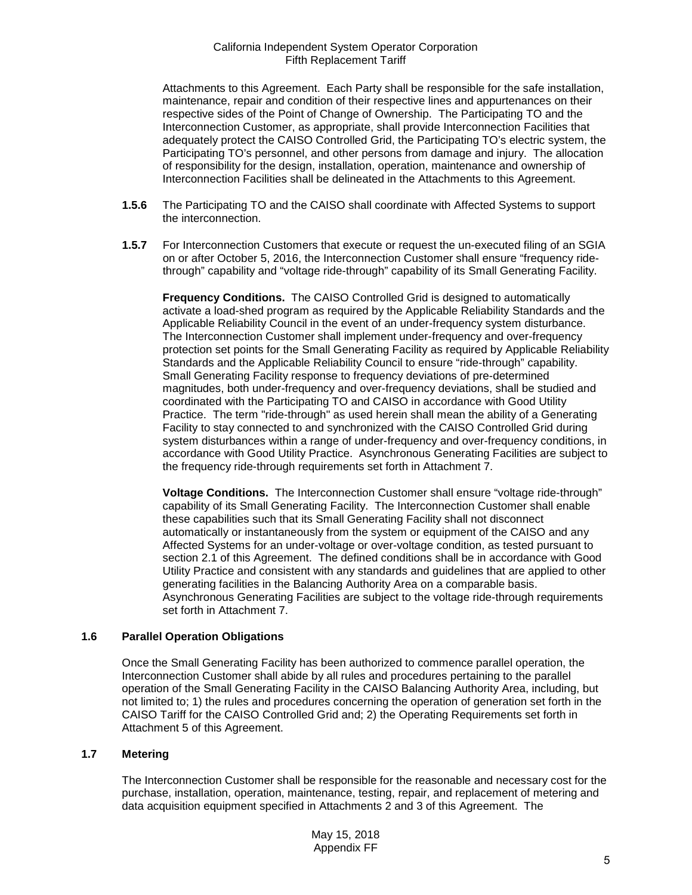Attachments to this Agreement. Each Party shall be responsible for the safe installation, maintenance, repair and condition of their respective lines and appurtenances on their respective sides of the Point of Change of Ownership. The Participating TO and the Interconnection Customer, as appropriate, shall provide Interconnection Facilities that adequately protect the CAISO Controlled Grid, the Participating TO's electric system, the Participating TO's personnel, and other persons from damage and injury. The allocation of responsibility for the design, installation, operation, maintenance and ownership of Interconnection Facilities shall be delineated in the Attachments to this Agreement.

- **1.5.6** The Participating TO and the CAISO shall coordinate with Affected Systems to support the interconnection.
- **1.5.7** For Interconnection Customers that execute or request the un-executed filing of an SGIA on or after October 5, 2016, the Interconnection Customer shall ensure "frequency ridethrough" capability and "voltage ride-through" capability of its Small Generating Facility.

**Frequency Conditions.** The CAISO Controlled Grid is designed to automatically activate a load-shed program as required by the Applicable Reliability Standards and the Applicable Reliability Council in the event of an under-frequency system disturbance. The Interconnection Customer shall implement under-frequency and over-frequency protection set points for the Small Generating Facility as required by Applicable Reliability Standards and the Applicable Reliability Council to ensure "ride-through" capability. Small Generating Facility response to frequency deviations of pre-determined magnitudes, both under-frequency and over-frequency deviations, shall be studied and coordinated with the Participating TO and CAISO in accordance with Good Utility Practice. The term "ride-through" as used herein shall mean the ability of a Generating Facility to stay connected to and synchronized with the CAISO Controlled Grid during system disturbances within a range of under-frequency and over-frequency conditions, in accordance with Good Utility Practice. Asynchronous Generating Facilities are subject to the frequency ride-through requirements set forth in Attachment 7.

**Voltage Conditions.** The Interconnection Customer shall ensure "voltage ride-through" capability of its Small Generating Facility. The Interconnection Customer shall enable these capabilities such that its Small Generating Facility shall not disconnect automatically or instantaneously from the system or equipment of the CAISO and any Affected Systems for an under-voltage or over-voltage condition, as tested pursuant to section 2.1 of this Agreement. The defined conditions shall be in accordance with Good Utility Practice and consistent with any standards and guidelines that are applied to other generating facilities in the Balancing Authority Area on a comparable basis. Asynchronous Generating Facilities are subject to the voltage ride-through requirements set forth in Attachment 7.

## <span id="page-4-0"></span>**1.6 Parallel Operation Obligations**

Once the Small Generating Facility has been authorized to commence parallel operation, the Interconnection Customer shall abide by all rules and procedures pertaining to the parallel operation of the Small Generating Facility in the CAISO Balancing Authority Area, including, but not limited to; 1) the rules and procedures concerning the operation of generation set forth in the CAISO Tariff for the CAISO Controlled Grid and; 2) the Operating Requirements set forth in Attachment 5 of this Agreement.

## <span id="page-4-1"></span>**1.7 Metering**

The Interconnection Customer shall be responsible for the reasonable and necessary cost for the purchase, installation, operation, maintenance, testing, repair, and replacement of metering and data acquisition equipment specified in Attachments 2 and 3 of this Agreement. The

> May 15, 2018 Appendix FF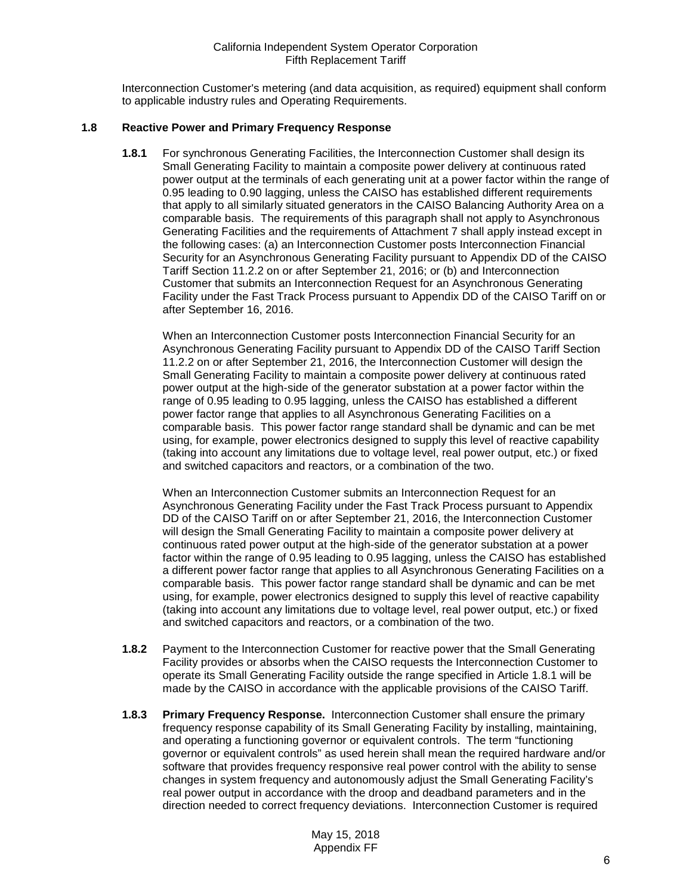Interconnection Customer's metering (and data acquisition, as required) equipment shall conform to applicable industry rules and Operating Requirements.

## <span id="page-5-1"></span><span id="page-5-0"></span>**1.8 Reactive Power and Primary Frequency Response**

**1.8.1** For synchronous Generating Facilities, the Interconnection Customer shall design its Small Generating Facility to maintain a composite power delivery at continuous rated power output at the terminals of each generating unit at a power factor within the range of 0.95 leading to 0.90 lagging, unless the CAISO has established different requirements that apply to all similarly situated generators in the CAISO Balancing Authority Area on a comparable basis. The requirements of this paragraph shall not apply to Asynchronous Generating Facilities and the requirements of Attachment 7 shall apply instead except in the following cases: (a) an Interconnection Customer posts Interconnection Financial Security for an Asynchronous Generating Facility pursuant to Appendix DD of the CAISO Tariff Section 11.2.2 on or after September 21, 2016; or (b) and Interconnection Customer that submits an Interconnection Request for an Asynchronous Generating Facility under the Fast Track Process pursuant to Appendix DD of the CAISO Tariff on or after September 16, 2016.

When an Interconnection Customer posts Interconnection Financial Security for an Asynchronous Generating Facility pursuant to Appendix DD of the CAISO Tariff Section 11.2.2 on or after September 21, 2016, the Interconnection Customer will design the Small Generating Facility to maintain a composite power delivery at continuous rated power output at the high-side of the generator substation at a power factor within the range of 0.95 leading to 0.95 lagging, unless the CAISO has established a different power factor range that applies to all Asynchronous Generating Facilities on a comparable basis. This power factor range standard shall be dynamic and can be met using, for example, power electronics designed to supply this level of reactive capability (taking into account any limitations due to voltage level, real power output, etc.) or fixed and switched capacitors and reactors, or a combination of the two.

When an Interconnection Customer submits an Interconnection Request for an Asynchronous Generating Facility under the Fast Track Process pursuant to Appendix DD of the CAISO Tariff on or after September 21, 2016, the Interconnection Customer will design the Small Generating Facility to maintain a composite power delivery at continuous rated power output at the high-side of the generator substation at a power factor within the range of 0.95 leading to 0.95 lagging, unless the CAISO has established a different power factor range that applies to all Asynchronous Generating Facilities on a comparable basis. This power factor range standard shall be dynamic and can be met using, for example, power electronics designed to supply this level of reactive capability (taking into account any limitations due to voltage level, real power output, etc.) or fixed and switched capacitors and reactors, or a combination of the two.

- <span id="page-5-2"></span>**1.8.2** Payment to the Interconnection Customer for reactive power that the Small Generating Facility provides or absorbs when the CAISO requests the Interconnection Customer to operate its Small Generating Facility outside the range specified in Article 1.8.1 will be made by the CAISO in accordance with the applicable provisions of the CAISO Tariff.
- <span id="page-5-3"></span>**1.8.3 Primary Frequency Response.** Interconnection Customer shall ensure the primary frequency response capability of its Small Generating Facility by installing, maintaining, and operating a functioning governor or equivalent controls. The term "functioning governor or equivalent controls" as used herein shall mean the required hardware and/or software that provides frequency responsive real power control with the ability to sense changes in system frequency and autonomously adjust the Small Generating Facility's real power output in accordance with the droop and deadband parameters and in the direction needed to correct frequency deviations. Interconnection Customer is required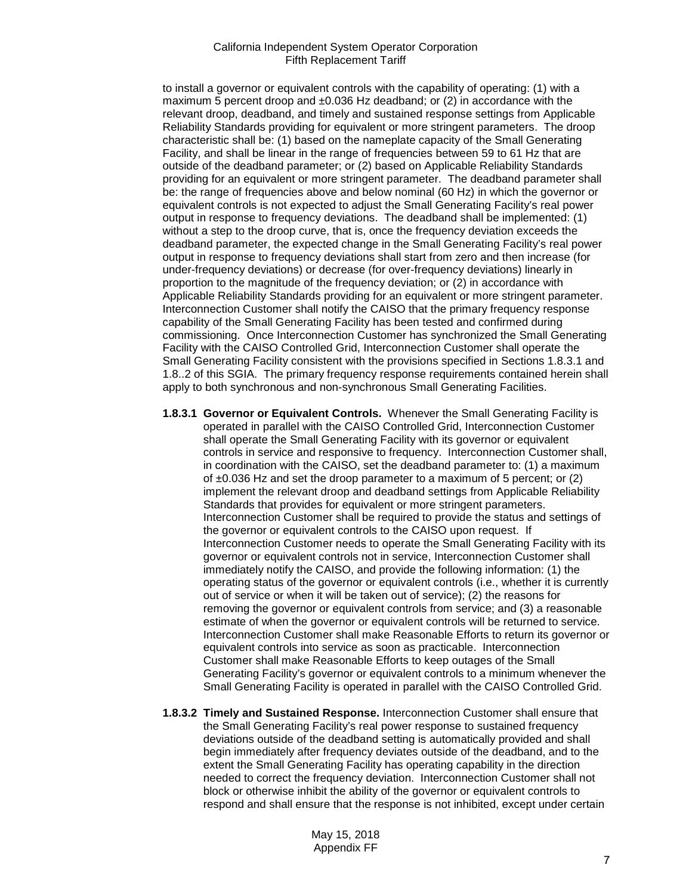to install a governor or equivalent controls with the capability of operating: (1) with a maximum 5 percent droop and  $\pm 0.036$  Hz deadband; or (2) in accordance with the relevant droop, deadband, and timely and sustained response settings from Applicable Reliability Standards providing for equivalent or more stringent parameters. The droop characteristic shall be: (1) based on the nameplate capacity of the Small Generating Facility, and shall be linear in the range of frequencies between 59 to 61 Hz that are outside of the deadband parameter; or (2) based on Applicable Reliability Standards providing for an equivalent or more stringent parameter. The deadband parameter shall be: the range of frequencies above and below nominal (60 Hz) in which the governor or equivalent controls is not expected to adjust the Small Generating Facility's real power output in response to frequency deviations. The deadband shall be implemented: (1) without a step to the droop curve, that is, once the frequency deviation exceeds the deadband parameter, the expected change in the Small Generating Facility's real power output in response to frequency deviations shall start from zero and then increase (for under-frequency deviations) or decrease (for over-frequency deviations) linearly in proportion to the magnitude of the frequency deviation; or (2) in accordance with Applicable Reliability Standards providing for an equivalent or more stringent parameter. Interconnection Customer shall notify the CAISO that the primary frequency response capability of the Small Generating Facility has been tested and confirmed during commissioning. Once Interconnection Customer has synchronized the Small Generating Facility with the CAISO Controlled Grid, Interconnection Customer shall operate the Small Generating Facility consistent with the provisions specified in Sections 1.8.3.1 and 1.8..2 of this SGIA. The primary frequency response requirements contained herein shall apply to both synchronous and non-synchronous Small Generating Facilities.

- **1.8.3.1 Governor or Equivalent Controls.** Whenever the Small Generating Facility is operated in parallel with the CAISO Controlled Grid, Interconnection Customer shall operate the Small Generating Facility with its governor or equivalent controls in service and responsive to frequency. Interconnection Customer shall, in coordination with the CAISO, set the deadband parameter to: (1) a maximum of  $\pm 0.036$  Hz and set the droop parameter to a maximum of 5 percent; or (2) implement the relevant droop and deadband settings from Applicable Reliability Standards that provides for equivalent or more stringent parameters. Interconnection Customer shall be required to provide the status and settings of the governor or equivalent controls to the CAISO upon request. If Interconnection Customer needs to operate the Small Generating Facility with its governor or equivalent controls not in service, Interconnection Customer shall immediately notify the CAISO, and provide the following information: (1) the operating status of the governor or equivalent controls (i.e., whether it is currently out of service or when it will be taken out of service); (2) the reasons for removing the governor or equivalent controls from service; and (3) a reasonable estimate of when the governor or equivalent controls will be returned to service. Interconnection Customer shall make Reasonable Efforts to return its governor or equivalent controls into service as soon as practicable. Interconnection Customer shall make Reasonable Efforts to keep outages of the Small Generating Facility's governor or equivalent controls to a minimum whenever the Small Generating Facility is operated in parallel with the CAISO Controlled Grid.
- **1.8.3.2 Timely and Sustained Response.** Interconnection Customer shall ensure that the Small Generating Facility's real power response to sustained frequency deviations outside of the deadband setting is automatically provided and shall begin immediately after frequency deviates outside of the deadband, and to the extent the Small Generating Facility has operating capability in the direction needed to correct the frequency deviation. Interconnection Customer shall not block or otherwise inhibit the ability of the governor or equivalent controls to respond and shall ensure that the response is not inhibited, except under certain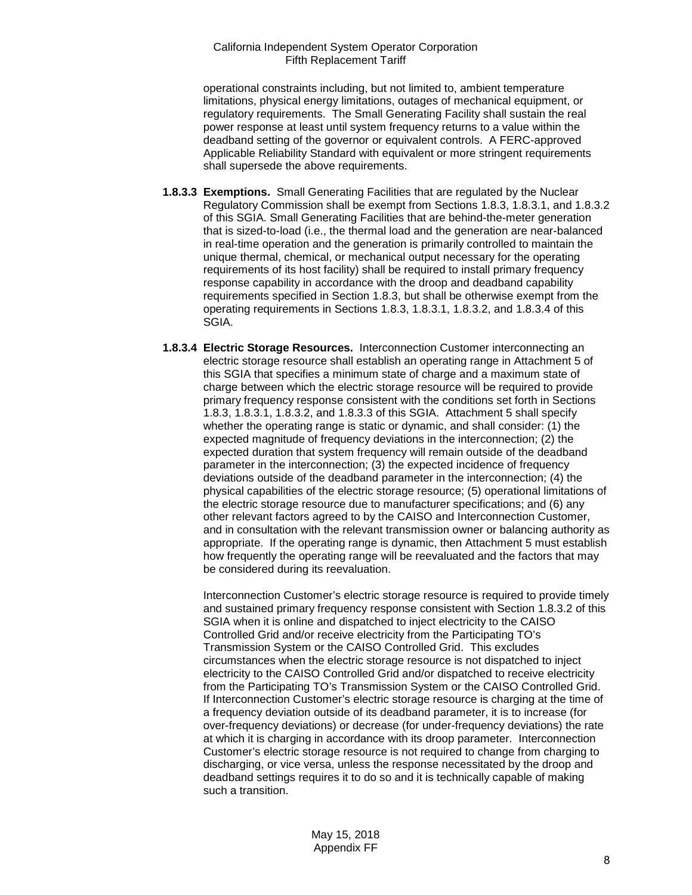operational constraints including, but not limited to, ambient temperature limitations, physical energy limitations, outages of mechanical equipment, or regulatory requirements. The Small Generating Facility shall sustain the real power response at least until system frequency returns to a value within the deadband setting of the governor or equivalent controls. A FERC-approved Applicable Reliability Standard with equivalent or more stringent requirements shall supersede the above requirements.

- **1.8.3.3 Exemptions.** Small Generating Facilities that are regulated by the Nuclear Regulatory Commission shall be exempt from Sections 1.8.3, 1.8.3.1, and 1.8.3.2 of this SGIA. Small Generating Facilities that are behind-the-meter generation that is sized-to-load (i.e., the thermal load and the generation are near-balanced in real-time operation and the generation is primarily controlled to maintain the unique thermal, chemical, or mechanical output necessary for the operating requirements of its host facility) shall be required to install primary frequency response capability in accordance with the droop and deadband capability requirements specified in Section 1.8.3, but shall be otherwise exempt from the operating requirements in Sections 1.8.3, 1.8.3.1, 1.8.3.2, and 1.8.3.4 of this SGIA.
- **1.8.3.4 Electric Storage Resources.** Interconnection Customer interconnecting an electric storage resource shall establish an operating range in Attachment 5 of this SGIA that specifies a minimum state of charge and a maximum state of charge between which the electric storage resource will be required to provide primary frequency response consistent with the conditions set forth in Sections 1.8.3, 1.8.3.1, 1.8.3.2, and 1.8.3.3 of this SGIA. Attachment 5 shall specify whether the operating range is static or dynamic, and shall consider: (1) the expected magnitude of frequency deviations in the interconnection; (2) the expected duration that system frequency will remain outside of the deadband parameter in the interconnection; (3) the expected incidence of frequency deviations outside of the deadband parameter in the interconnection; (4) the physical capabilities of the electric storage resource; (5) operational limitations of the electric storage resource due to manufacturer specifications; and (6) any other relevant factors agreed to by the CAISO and Interconnection Customer, and in consultation with the relevant transmission owner or balancing authority as appropriate. If the operating range is dynamic, then Attachment 5 must establish how frequently the operating range will be reevaluated and the factors that may be considered during its reevaluation.

Interconnection Customer's electric storage resource is required to provide timely and sustained primary frequency response consistent with Section 1.8.3.2 of this SGIA when it is online and dispatched to inject electricity to the CAISO Controlled Grid and/or receive electricity from the Participating TO's Transmission System or the CAISO Controlled Grid. This excludes circumstances when the electric storage resource is not dispatched to inject electricity to the CAISO Controlled Grid and/or dispatched to receive electricity from the Participating TO's Transmission System or the CAISO Controlled Grid. If Interconnection Customer's electric storage resource is charging at the time of a frequency deviation outside of its deadband parameter, it is to increase (for over-frequency deviations) or decrease (for under-frequency deviations) the rate at which it is charging in accordance with its droop parameter. Interconnection Customer's electric storage resource is not required to change from charging to discharging, or vice versa, unless the response necessitated by the droop and deadband settings requires it to do so and it is technically capable of making such a transition.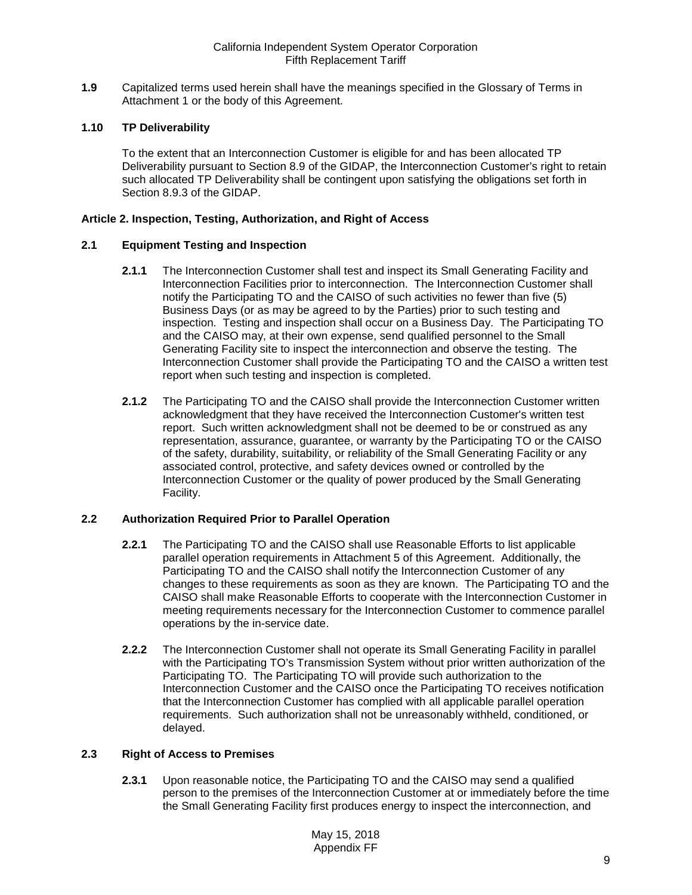<span id="page-8-0"></span>**1.9** Capitalized terms used herein shall have the meanings specified in the Glossary of Terms in Attachment 1 or the body of this Agreement.

## <span id="page-8-1"></span>**1.10 TP Deliverability**

To the extent that an Interconnection Customer is eligible for and has been allocated TP Deliverability pursuant to Section 8.9 of the GIDAP, the Interconnection Customer's right to retain such allocated TP Deliverability shall be contingent upon satisfying the obligations set forth in Section 8.9.3 of the GIDAP.

#### <span id="page-8-2"></span>**Article 2. Inspection, Testing, Authorization, and Right of Access**

#### <span id="page-8-3"></span>**2.1 Equipment Testing and Inspection**

- **2.1.1** The Interconnection Customer shall test and inspect its Small Generating Facility and Interconnection Facilities prior to interconnection. The Interconnection Customer shall notify the Participating TO and the CAISO of such activities no fewer than five (5) Business Days (or as may be agreed to by the Parties) prior to such testing and inspection. Testing and inspection shall occur on a Business Day. The Participating TO and the CAISO may, at their own expense, send qualified personnel to the Small Generating Facility site to inspect the interconnection and observe the testing. The Interconnection Customer shall provide the Participating TO and the CAISO a written test report when such testing and inspection is completed.
- **2.1.2** The Participating TO and the CAISO shall provide the Interconnection Customer written acknowledgment that they have received the Interconnection Customer's written test report. Such written acknowledgment shall not be deemed to be or construed as any representation, assurance, guarantee, or warranty by the Participating TO or the CAISO of the safety, durability, suitability, or reliability of the Small Generating Facility or any associated control, protective, and safety devices owned or controlled by the Interconnection Customer or the quality of power produced by the Small Generating Facility.

## <span id="page-8-4"></span>**2.2 Authorization Required Prior to Parallel Operation**

- **2.2.1** The Participating TO and the CAISO shall use Reasonable Efforts to list applicable parallel operation requirements in Attachment 5 of this Agreement. Additionally, the Participating TO and the CAISO shall notify the Interconnection Customer of any changes to these requirements as soon as they are known. The Participating TO and the CAISO shall make Reasonable Efforts to cooperate with the Interconnection Customer in meeting requirements necessary for the Interconnection Customer to commence parallel operations by the in-service date.
- **2.2.2** The Interconnection Customer shall not operate its Small Generating Facility in parallel with the Participating TO's Transmission System without prior written authorization of the Participating TO. The Participating TO will provide such authorization to the Interconnection Customer and the CAISO once the Participating TO receives notification that the Interconnection Customer has complied with all applicable parallel operation requirements. Such authorization shall not be unreasonably withheld, conditioned, or delayed.

#### <span id="page-8-5"></span>**2.3 Right of Access to Premises**

**2.3.1** Upon reasonable notice, the Participating TO and the CAISO may send a qualified person to the premises of the Interconnection Customer at or immediately before the time the Small Generating Facility first produces energy to inspect the interconnection, and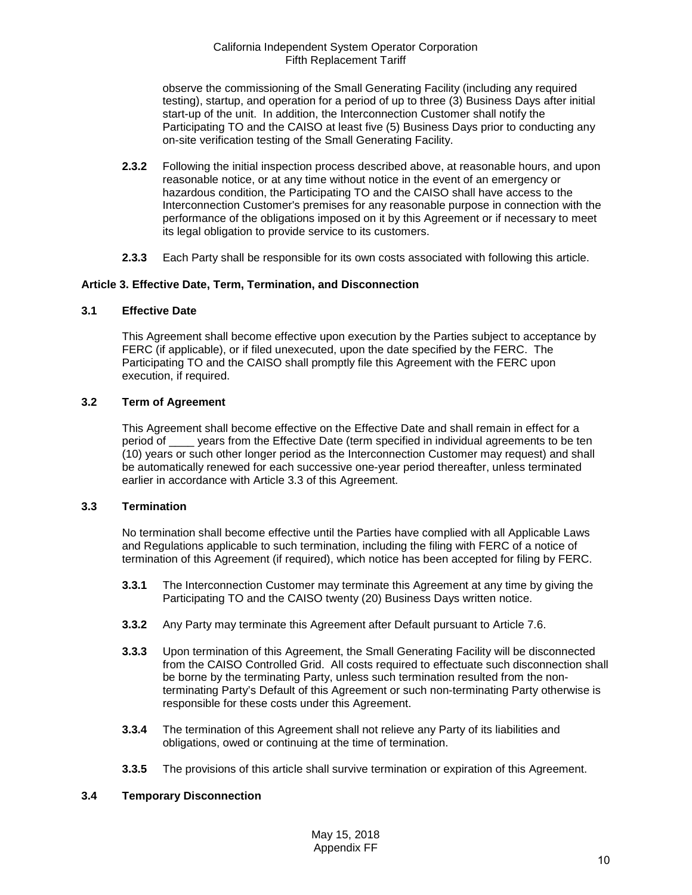observe the commissioning of the Small Generating Facility (including any required testing), startup, and operation for a period of up to three (3) Business Days after initial start-up of the unit. In addition, the Interconnection Customer shall notify the Participating TO and the CAISO at least five (5) Business Days prior to conducting any on-site verification testing of the Small Generating Facility.

- **2.3.2** Following the initial inspection process described above, at reasonable hours, and upon reasonable notice, or at any time without notice in the event of an emergency or hazardous condition, the Participating TO and the CAISO shall have access to the Interconnection Customer's premises for any reasonable purpose in connection with the performance of the obligations imposed on it by this Agreement or if necessary to meet its legal obligation to provide service to its customers.
- **2.3.3** Each Party shall be responsible for its own costs associated with following this article.

#### <span id="page-9-0"></span>**Article 3. Effective Date, Term, Termination, and Disconnection**

#### <span id="page-9-1"></span>**3.1 Effective Date**

This Agreement shall become effective upon execution by the Parties subject to acceptance by FERC (if applicable), or if filed unexecuted, upon the date specified by the FERC. The Participating TO and the CAISO shall promptly file this Agreement with the FERC upon execution, if required.

#### <span id="page-9-2"></span>**3.2 Term of Agreement**

This Agreement shall become effective on the Effective Date and shall remain in effect for a period of \_\_\_\_ years from the Effective Date (term specified in individual agreements to be ten (10) years or such other longer period as the Interconnection Customer may request) and shall be automatically renewed for each successive one-year period thereafter, unless terminated earlier in accordance with Article 3.3 of this Agreement.

#### <span id="page-9-3"></span>**3.3 Termination**

No termination shall become effective until the Parties have complied with all Applicable Laws and Regulations applicable to such termination, including the filing with FERC of a notice of termination of this Agreement (if required), which notice has been accepted for filing by FERC.

- **3.3.1** The Interconnection Customer may terminate this Agreement at any time by giving the Participating TO and the CAISO twenty (20) Business Days written notice.
- **3.3.2** Any Party may terminate this Agreement after Default pursuant to Article 7.6.
- **3.3.3** Upon termination of this Agreement, the Small Generating Facility will be disconnected from the CAISO Controlled Grid. All costs required to effectuate such disconnection shall be borne by the terminating Party, unless such termination resulted from the nonterminating Party's Default of this Agreement or such non-terminating Party otherwise is responsible for these costs under this Agreement.
- **3.3.4** The termination of this Agreement shall not relieve any Party of its liabilities and obligations, owed or continuing at the time of termination.
- **3.3.5** The provisions of this article shall survive termination or expiration of this Agreement.

## <span id="page-9-4"></span>**3.4 Temporary Disconnection**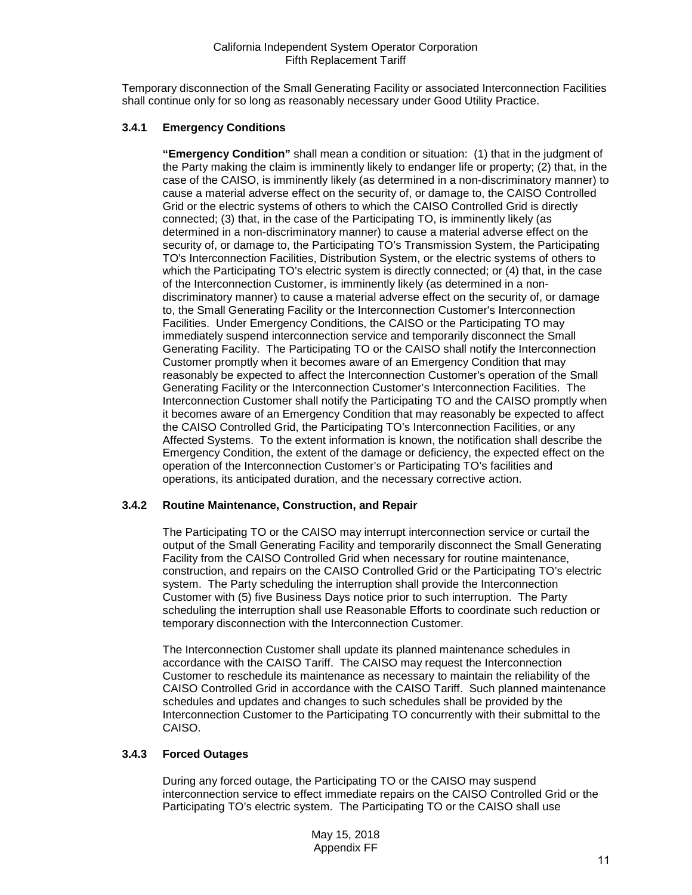Temporary disconnection of the Small Generating Facility or associated Interconnection Facilities shall continue only for so long as reasonably necessary under Good Utility Practice.

## **3.4.1 Emergency Conditions**

**"Emergency Condition"** shall mean a condition or situation: (1) that in the judgment of the Party making the claim is imminently likely to endanger life or property; (2) that, in the case of the CAISO, is imminently likely (as determined in a non-discriminatory manner) to cause a material adverse effect on the security of, or damage to, the CAISO Controlled Grid or the electric systems of others to which the CAISO Controlled Grid is directly connected; (3) that, in the case of the Participating TO, is imminently likely (as determined in a non-discriminatory manner) to cause a material adverse effect on the security of, or damage to, the Participating TO's Transmission System, the Participating TO's Interconnection Facilities, Distribution System, or the electric systems of others to which the Participating TO's electric system is directly connected; or (4) that, in the case of the Interconnection Customer, is imminently likely (as determined in a nondiscriminatory manner) to cause a material adverse effect on the security of, or damage to, the Small Generating Facility or the Interconnection Customer's Interconnection Facilities. Under Emergency Conditions, the CAISO or the Participating TO may immediately suspend interconnection service and temporarily disconnect the Small Generating Facility. The Participating TO or the CAISO shall notify the Interconnection Customer promptly when it becomes aware of an Emergency Condition that may reasonably be expected to affect the Interconnection Customer's operation of the Small Generating Facility or the Interconnection Customer's Interconnection Facilities. The Interconnection Customer shall notify the Participating TO and the CAISO promptly when it becomes aware of an Emergency Condition that may reasonably be expected to affect the CAISO Controlled Grid, the Participating TO's Interconnection Facilities, or any Affected Systems. To the extent information is known, the notification shall describe the Emergency Condition, the extent of the damage or deficiency, the expected effect on the operation of the Interconnection Customer's or Participating TO's facilities and operations, its anticipated duration, and the necessary corrective action.

## **3.4.2 Routine Maintenance, Construction, and Repair**

The Participating TO or the CAISO may interrupt interconnection service or curtail the output of the Small Generating Facility and temporarily disconnect the Small Generating Facility from the CAISO Controlled Grid when necessary for routine maintenance, construction, and repairs on the CAISO Controlled Grid or the Participating TO's electric system. The Party scheduling the interruption shall provide the Interconnection Customer with (5) five Business Days notice prior to such interruption. The Party scheduling the interruption shall use Reasonable Efforts to coordinate such reduction or temporary disconnection with the Interconnection Customer.

The Interconnection Customer shall update its planned maintenance schedules in accordance with the CAISO Tariff. The CAISO may request the Interconnection Customer to reschedule its maintenance as necessary to maintain the reliability of the CAISO Controlled Grid in accordance with the CAISO Tariff. Such planned maintenance schedules and updates and changes to such schedules shall be provided by the Interconnection Customer to the Participating TO concurrently with their submittal to the CAISO.

## **3.4.3 Forced Outages**

During any forced outage, the Participating TO or the CAISO may suspend interconnection service to effect immediate repairs on the CAISO Controlled Grid or the Participating TO's electric system. The Participating TO or the CAISO shall use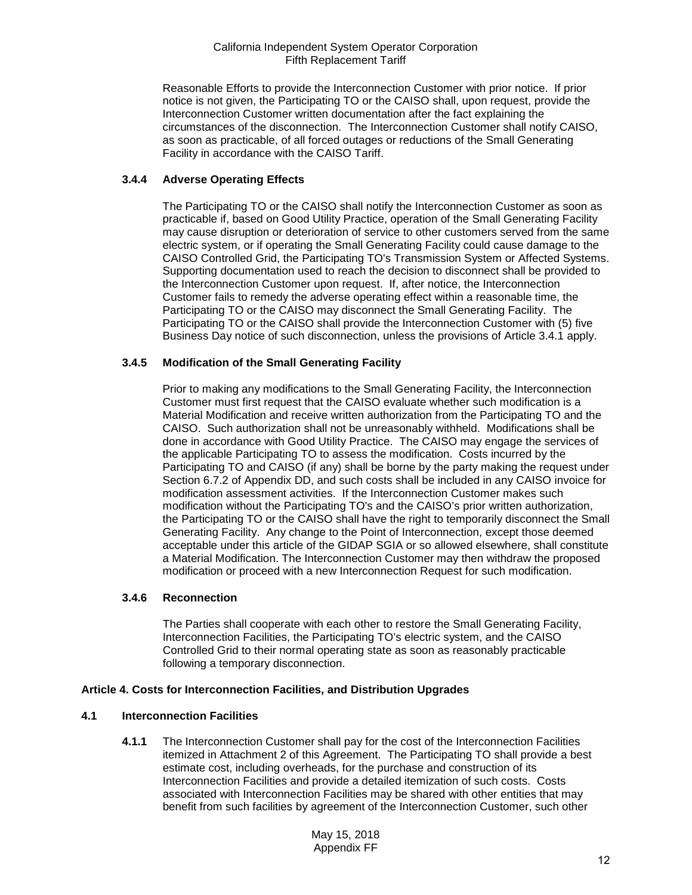Reasonable Efforts to provide the Interconnection Customer with prior notice. If prior notice is not given, the Participating TO or the CAISO shall, upon request, provide the Interconnection Customer written documentation after the fact explaining the circumstances of the disconnection. The Interconnection Customer shall notify CAISO, as soon as practicable, of all forced outages or reductions of the Small Generating Facility in accordance with the CAISO Tariff.

## **3.4.4 Adverse Operating Effects**

The Participating TO or the CAISO shall notify the Interconnection Customer as soon as practicable if, based on Good Utility Practice, operation of the Small Generating Facility may cause disruption or deterioration of service to other customers served from the same electric system, or if operating the Small Generating Facility could cause damage to the CAISO Controlled Grid, the Participating TO's Transmission System or Affected Systems. Supporting documentation used to reach the decision to disconnect shall be provided to the Interconnection Customer upon request. If, after notice, the Interconnection Customer fails to remedy the adverse operating effect within a reasonable time, the Participating TO or the CAISO may disconnect the Small Generating Facility. The Participating TO or the CAISO shall provide the Interconnection Customer with (5) five Business Day notice of such disconnection, unless the provisions of Article 3.4.1 apply.

## **3.4.5 Modification of the Small Generating Facility**

Prior to making any modifications to the Small Generating Facility, the Interconnection Customer must first request that the CAISO evaluate whether such modification is a Material Modification and receive written authorization from the Participating TO and the CAISO. Such authorization shall not be unreasonably withheld. Modifications shall be done in accordance with Good Utility Practice. The CAISO may engage the services of the applicable Participating TO to assess the modification. Costs incurred by the Participating TO and CAISO (if any) shall be borne by the party making the request under Section 6.7.2 of Appendix DD, and such costs shall be included in any CAISO invoice for modification assessment activities. If the Interconnection Customer makes such modification without the Participating TO's and the CAISO's prior written authorization, the Participating TO or the CAISO shall have the right to temporarily disconnect the Small Generating Facility. Any change to the Point of Interconnection, except those deemed acceptable under this article of the GIDAP SGIA or so allowed elsewhere, shall constitute a Material Modification. The Interconnection Customer may then withdraw the proposed modification or proceed with a new Interconnection Request for such modification.

## **3.4.6 Reconnection**

The Parties shall cooperate with each other to restore the Small Generating Facility, Interconnection Facilities, the Participating TO's electric system, and the CAISO Controlled Grid to their normal operating state as soon as reasonably practicable following a temporary disconnection.

## <span id="page-11-0"></span>**Article 4. Costs for Interconnection Facilities, and Distribution Upgrades**

## <span id="page-11-1"></span>**4.1 Interconnection Facilities**

**4.1.1** The Interconnection Customer shall pay for the cost of the Interconnection Facilities itemized in Attachment 2 of this Agreement. The Participating TO shall provide a best estimate cost, including overheads, for the purchase and construction of its Interconnection Facilities and provide a detailed itemization of such costs. Costs associated with Interconnection Facilities may be shared with other entities that may benefit from such facilities by agreement of the Interconnection Customer, such other

> May 15, 2018 Appendix FF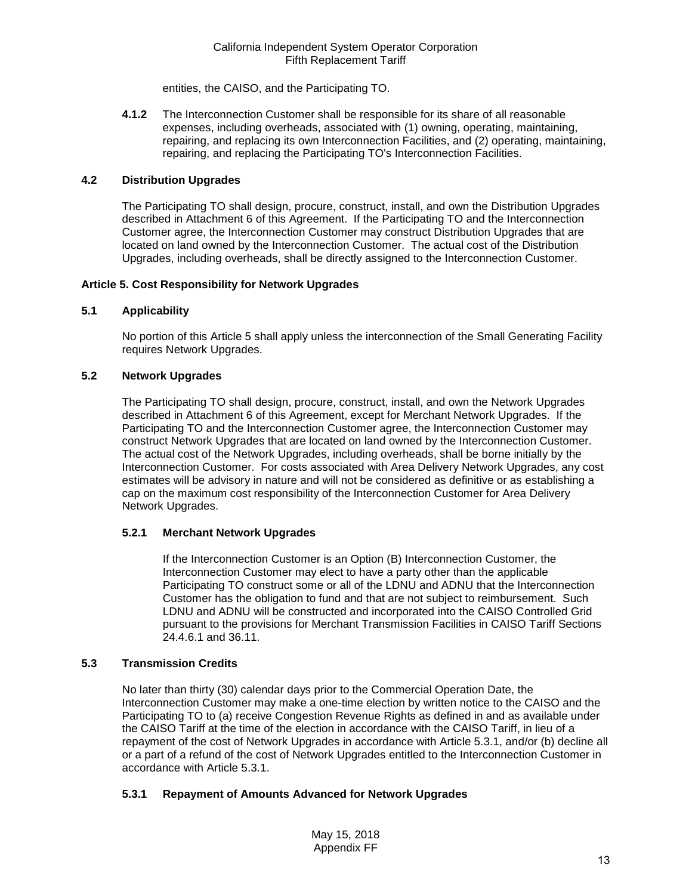entities, the CAISO, and the Participating TO.

**4.1.2** The Interconnection Customer shall be responsible for its share of all reasonable expenses, including overheads, associated with (1) owning, operating, maintaining, repairing, and replacing its own Interconnection Facilities, and (2) operating, maintaining, repairing, and replacing the Participating TO's Interconnection Facilities.

## <span id="page-12-0"></span>**4.2 Distribution Upgrades**

The Participating TO shall design, procure, construct, install, and own the Distribution Upgrades described in Attachment 6 of this Agreement. If the Participating TO and the Interconnection Customer agree, the Interconnection Customer may construct Distribution Upgrades that are located on land owned by the Interconnection Customer. The actual cost of the Distribution Upgrades, including overheads, shall be directly assigned to the Interconnection Customer.

#### <span id="page-12-1"></span>**Article 5. Cost Responsibility for Network Upgrades**

#### <span id="page-12-2"></span>**5.1 Applicability**

No portion of this Article 5 shall apply unless the interconnection of the Small Generating Facility requires Network Upgrades.

## <span id="page-12-3"></span>**5.2 Network Upgrades**

The Participating TO shall design, procure, construct, install, and own the Network Upgrades described in Attachment 6 of this Agreement, except for Merchant Network Upgrades. If the Participating TO and the Interconnection Customer agree, the Interconnection Customer may construct Network Upgrades that are located on land owned by the Interconnection Customer. The actual cost of the Network Upgrades, including overheads, shall be borne initially by the Interconnection Customer. For costs associated with Area Delivery Network Upgrades, any cost estimates will be advisory in nature and will not be considered as definitive or as establishing a cap on the maximum cost responsibility of the Interconnection Customer for Area Delivery Network Upgrades.

## **5.2.1 Merchant Network Upgrades**

If the Interconnection Customer is an Option (B) Interconnection Customer, the Interconnection Customer may elect to have a party other than the applicable Participating TO construct some or all of the LDNU and ADNU that the Interconnection Customer has the obligation to fund and that are not subject to reimbursement. Such LDNU and ADNU will be constructed and incorporated into the CAISO Controlled Grid pursuant to the provisions for Merchant Transmission Facilities in CAISO Tariff Sections 24.4.6.1 and 36.11.

## <span id="page-12-4"></span>**5.3 Transmission Credits**

No later than thirty (30) calendar days prior to the Commercial Operation Date, the Interconnection Customer may make a one-time election by written notice to the CAISO and the Participating TO to (a) receive Congestion Revenue Rights as defined in and as available under the CAISO Tariff at the time of the election in accordance with the CAISO Tariff, in lieu of a repayment of the cost of Network Upgrades in accordance with Article 5.3.1, and/or (b) decline all or a part of a refund of the cost of Network Upgrades entitled to the Interconnection Customer in accordance with Article 5.3.1.

## **5.3.1 Repayment of Amounts Advanced for Network Upgrades**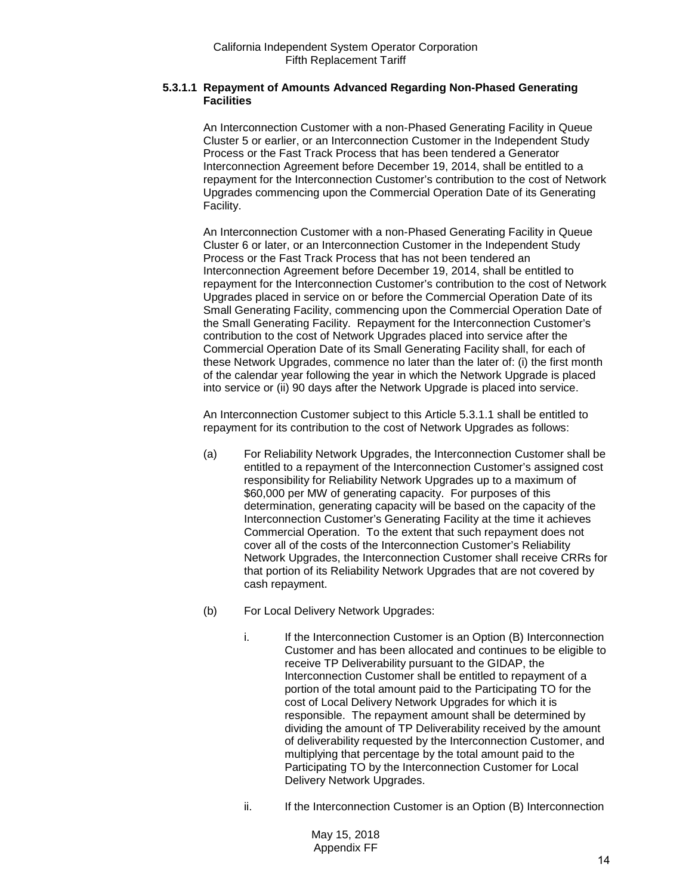## **5.3.1.1 Repayment of Amounts Advanced Regarding Non-Phased Generating Facilities**

An Interconnection Customer with a non-Phased Generating Facility in Queue Cluster 5 or earlier, or an Interconnection Customer in the Independent Study Process or the Fast Track Process that has been tendered a Generator Interconnection Agreement before December 19, 2014, shall be entitled to a repayment for the Interconnection Customer's contribution to the cost of Network Upgrades commencing upon the Commercial Operation Date of its Generating Facility.

An Interconnection Customer with a non-Phased Generating Facility in Queue Cluster 6 or later, or an Interconnection Customer in the Independent Study Process or the Fast Track Process that has not been tendered an Interconnection Agreement before December 19, 2014, shall be entitled to repayment for the Interconnection Customer's contribution to the cost of Network Upgrades placed in service on or before the Commercial Operation Date of its Small Generating Facility, commencing upon the Commercial Operation Date of the Small Generating Facility. Repayment for the Interconnection Customer's contribution to the cost of Network Upgrades placed into service after the Commercial Operation Date of its Small Generating Facility shall, for each of these Network Upgrades, commence no later than the later of: (i) the first month of the calendar year following the year in which the Network Upgrade is placed into service or (ii) 90 days after the Network Upgrade is placed into service.

An Interconnection Customer subject to this Article 5.3.1.1 shall be entitled to repayment for its contribution to the cost of Network Upgrades as follows:

- (a) For Reliability Network Upgrades, the Interconnection Customer shall be entitled to a repayment of the Interconnection Customer's assigned cost responsibility for Reliability Network Upgrades up to a maximum of \$60,000 per MW of generating capacity. For purposes of this determination, generating capacity will be based on the capacity of the Interconnection Customer's Generating Facility at the time it achieves Commercial Operation. To the extent that such repayment does not cover all of the costs of the Interconnection Customer's Reliability Network Upgrades, the Interconnection Customer shall receive CRRs for that portion of its Reliability Network Upgrades that are not covered by cash repayment.
- (b) For Local Delivery Network Upgrades:
	- i. If the Interconnection Customer is an Option (B) Interconnection Customer and has been allocated and continues to be eligible to receive TP Deliverability pursuant to the GIDAP, the Interconnection Customer shall be entitled to repayment of a portion of the total amount paid to the Participating TO for the cost of Local Delivery Network Upgrades for which it is responsible. The repayment amount shall be determined by dividing the amount of TP Deliverability received by the amount of deliverability requested by the Interconnection Customer, and multiplying that percentage by the total amount paid to the Participating TO by the Interconnection Customer for Local Delivery Network Upgrades.
	- ii. If the Interconnection Customer is an Option (B) Interconnection

May 15, 2018 Appendix FF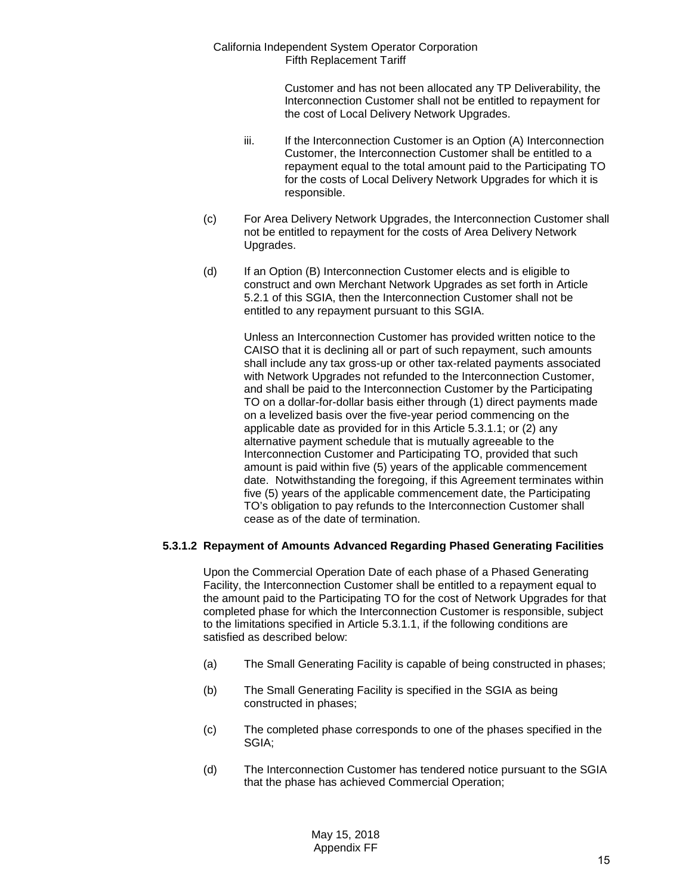> Customer and has not been allocated any TP Deliverability, the Interconnection Customer shall not be entitled to repayment for the cost of Local Delivery Network Upgrades.

- iii. If the Interconnection Customer is an Option (A) Interconnection Customer, the Interconnection Customer shall be entitled to a repayment equal to the total amount paid to the Participating TO for the costs of Local Delivery Network Upgrades for which it is responsible.
- (c) For Area Delivery Network Upgrades, the Interconnection Customer shall not be entitled to repayment for the costs of Area Delivery Network Upgrades.
- (d) If an Option (B) Interconnection Customer elects and is eligible to construct and own Merchant Network Upgrades as set forth in Article 5.2.1 of this SGIA, then the Interconnection Customer shall not be entitled to any repayment pursuant to this SGIA.

Unless an Interconnection Customer has provided written notice to the CAISO that it is declining all or part of such repayment, such amounts shall include any tax gross-up or other tax-related payments associated with Network Upgrades not refunded to the Interconnection Customer, and shall be paid to the Interconnection Customer by the Participating TO on a dollar-for-dollar basis either through (1) direct payments made on a levelized basis over the five-year period commencing on the applicable date as provided for in this Article 5.3.1.1; or (2) any alternative payment schedule that is mutually agreeable to the Interconnection Customer and Participating TO, provided that such amount is paid within five (5) years of the applicable commencement date. Notwithstanding the foregoing, if this Agreement terminates within five (5) years of the applicable commencement date, the Participating TO's obligation to pay refunds to the Interconnection Customer shall cease as of the date of termination.

## **5.3.1.2 Repayment of Amounts Advanced Regarding Phased Generating Facilities**

Upon the Commercial Operation Date of each phase of a Phased Generating Facility, the Interconnection Customer shall be entitled to a repayment equal to the amount paid to the Participating TO for the cost of Network Upgrades for that completed phase for which the Interconnection Customer is responsible, subject to the limitations specified in Article 5.3.1.1, if the following conditions are satisfied as described below:

- (a) The Small Generating Facility is capable of being constructed in phases;
- (b) The Small Generating Facility is specified in the SGIA as being constructed in phases;
- (c) The completed phase corresponds to one of the phases specified in the SGIA;
- (d) The Interconnection Customer has tendered notice pursuant to the SGIA that the phase has achieved Commercial Operation;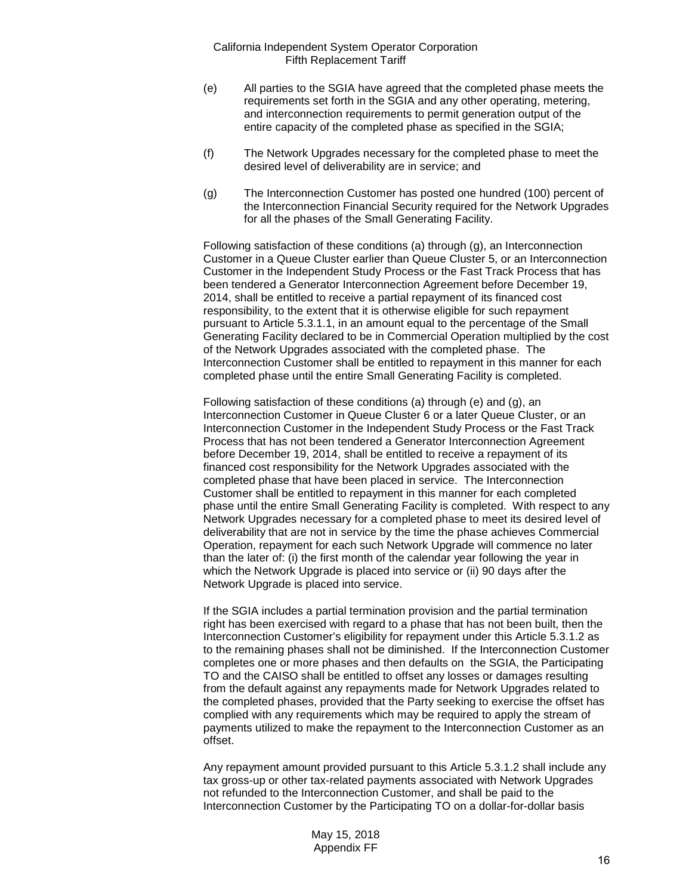- (e) All parties to the SGIA have agreed that the completed phase meets the requirements set forth in the SGIA and any other operating, metering, and interconnection requirements to permit generation output of the entire capacity of the completed phase as specified in the SGIA;
- (f) The Network Upgrades necessary for the completed phase to meet the desired level of deliverability are in service; and
- (g) The Interconnection Customer has posted one hundred (100) percent of the Interconnection Financial Security required for the Network Upgrades for all the phases of the Small Generating Facility.

Following satisfaction of these conditions (a) through (g), an Interconnection Customer in a Queue Cluster earlier than Queue Cluster 5, or an Interconnection Customer in the Independent Study Process or the Fast Track Process that has been tendered a Generator Interconnection Agreement before December 19, 2014, shall be entitled to receive a partial repayment of its financed cost responsibility, to the extent that it is otherwise eligible for such repayment pursuant to Article 5.3.1.1, in an amount equal to the percentage of the Small Generating Facility declared to be in Commercial Operation multiplied by the cost of the Network Upgrades associated with the completed phase. The Interconnection Customer shall be entitled to repayment in this manner for each completed phase until the entire Small Generating Facility is completed.

Following satisfaction of these conditions (a) through (e) and (g), an Interconnection Customer in Queue Cluster 6 or a later Queue Cluster, or an Interconnection Customer in the Independent Study Process or the Fast Track Process that has not been tendered a Generator Interconnection Agreement before December 19, 2014, shall be entitled to receive a repayment of its financed cost responsibility for the Network Upgrades associated with the completed phase that have been placed in service. The Interconnection Customer shall be entitled to repayment in this manner for each completed phase until the entire Small Generating Facility is completed. With respect to any Network Upgrades necessary for a completed phase to meet its desired level of deliverability that are not in service by the time the phase achieves Commercial Operation, repayment for each such Network Upgrade will commence no later than the later of: (i) the first month of the calendar year following the year in which the Network Upgrade is placed into service or (ii) 90 days after the Network Upgrade is placed into service.

If the SGIA includes a partial termination provision and the partial termination right has been exercised with regard to a phase that has not been built, then the Interconnection Customer's eligibility for repayment under this Article 5.3.1.2 as to the remaining phases shall not be diminished. If the Interconnection Customer completes one or more phases and then defaults on the SGIA, the Participating TO and the CAISO shall be entitled to offset any losses or damages resulting from the default against any repayments made for Network Upgrades related to the completed phases, provided that the Party seeking to exercise the offset has complied with any requirements which may be required to apply the stream of payments utilized to make the repayment to the Interconnection Customer as an offset.

Any repayment amount provided pursuant to this Article 5.3.1.2 shall include any tax gross-up or other tax-related payments associated with Network Upgrades not refunded to the Interconnection Customer, and shall be paid to the Interconnection Customer by the Participating TO on a dollar-for-dollar basis

> May 15, 2018 Appendix FF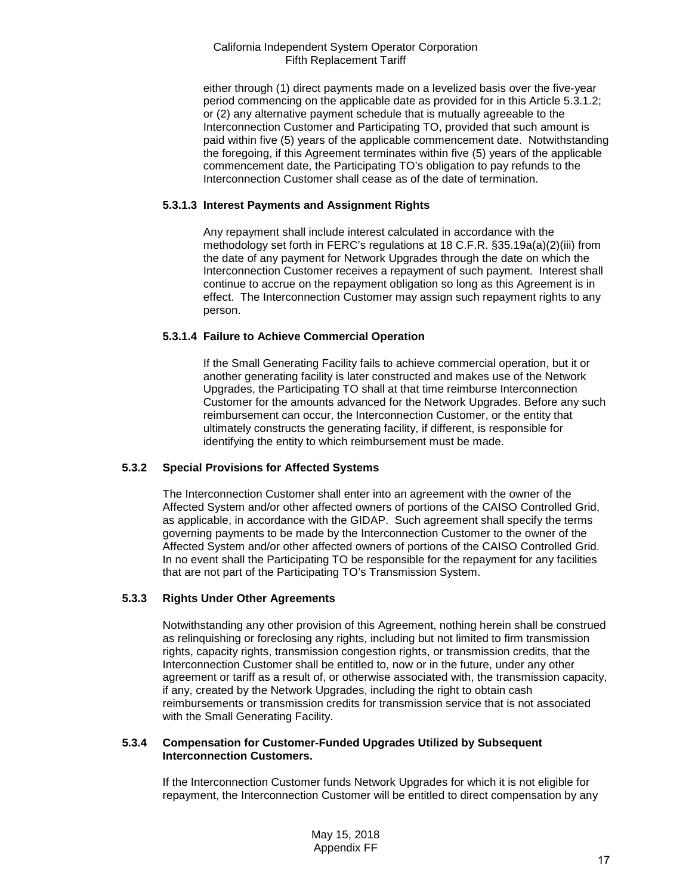either through (1) direct payments made on a levelized basis over the five-year period commencing on the applicable date as provided for in this Article 5.3.1.2; or (2) any alternative payment schedule that is mutually agreeable to the Interconnection Customer and Participating TO, provided that such amount is paid within five (5) years of the applicable commencement date. Notwithstanding the foregoing, if this Agreement terminates within five (5) years of the applicable commencement date, the Participating TO's obligation to pay refunds to the Interconnection Customer shall cease as of the date of termination.

## **5.3.1.3 Interest Payments and Assignment Rights**

Any repayment shall include interest calculated in accordance with the methodology set forth in FERC's regulations at 18 C.F.R. §35.19a(a)(2)(iii) from the date of any payment for Network Upgrades through the date on which the Interconnection Customer receives a repayment of such payment. Interest shall continue to accrue on the repayment obligation so long as this Agreement is in effect. The Interconnection Customer may assign such repayment rights to any person.

## **5.3.1.4 Failure to Achieve Commercial Operation**

If the Small Generating Facility fails to achieve commercial operation, but it or another generating facility is later constructed and makes use of the Network Upgrades, the Participating TO shall at that time reimburse Interconnection Customer for the amounts advanced for the Network Upgrades. Before any such reimbursement can occur, the Interconnection Customer, or the entity that ultimately constructs the generating facility, if different, is responsible for identifying the entity to which reimbursement must be made.

# **5.3.2 Special Provisions for Affected Systems**

The Interconnection Customer shall enter into an agreement with the owner of the Affected System and/or other affected owners of portions of the CAISO Controlled Grid, as applicable, in accordance with the GIDAP. Such agreement shall specify the terms governing payments to be made by the Interconnection Customer to the owner of the Affected System and/or other affected owners of portions of the CAISO Controlled Grid. In no event shall the Participating TO be responsible for the repayment for any facilities that are not part of the Participating TO's Transmission System.

## **5.3.3 Rights Under Other Agreements**

Notwithstanding any other provision of this Agreement, nothing herein shall be construed as relinquishing or foreclosing any rights, including but not limited to firm transmission rights, capacity rights, transmission congestion rights, or transmission credits, that the Interconnection Customer shall be entitled to, now or in the future, under any other agreement or tariff as a result of, or otherwise associated with, the transmission capacity, if any, created by the Network Upgrades, including the right to obtain cash reimbursements or transmission credits for transmission service that is not associated with the Small Generating Facility.

#### **5.3.4 Compensation for Customer-Funded Upgrades Utilized by Subsequent Interconnection Customers.**

If the Interconnection Customer funds Network Upgrades for which it is not eligible for repayment, the Interconnection Customer will be entitled to direct compensation by any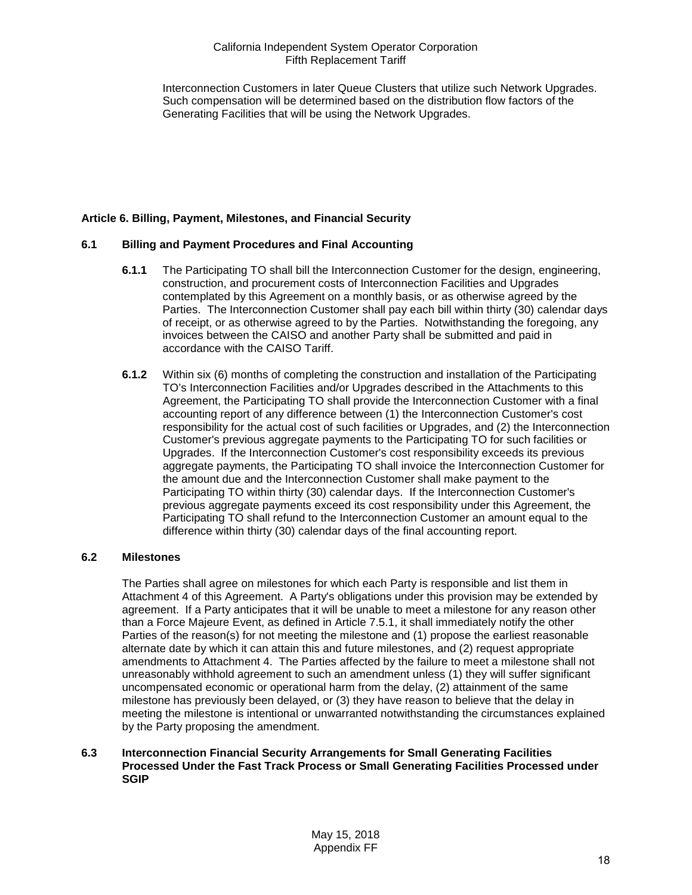Interconnection Customers in later Queue Clusters that utilize such Network Upgrades. Such compensation will be determined based on the distribution flow factors of the Generating Facilities that will be using the Network Upgrades.

## <span id="page-17-0"></span>**Article 6. Billing, Payment, Milestones, and Financial Security**

## <span id="page-17-1"></span>**6.1 Billing and Payment Procedures and Final Accounting**

- **6.1.1** The Participating TO shall bill the Interconnection Customer for the design, engineering, construction, and procurement costs of Interconnection Facilities and Upgrades contemplated by this Agreement on a monthly basis, or as otherwise agreed by the Parties. The Interconnection Customer shall pay each bill within thirty (30) calendar days of receipt, or as otherwise agreed to by the Parties. Notwithstanding the foregoing, any invoices between the CAISO and another Party shall be submitted and paid in accordance with the CAISO Tariff.
- **6.1.2** Within six (6) months of completing the construction and installation of the Participating TO's Interconnection Facilities and/or Upgrades described in the Attachments to this Agreement, the Participating TO shall provide the Interconnection Customer with a final accounting report of any difference between (1) the Interconnection Customer's cost responsibility for the actual cost of such facilities or Upgrades, and (2) the Interconnection Customer's previous aggregate payments to the Participating TO for such facilities or Upgrades. If the Interconnection Customer's cost responsibility exceeds its previous aggregate payments, the Participating TO shall invoice the Interconnection Customer for the amount due and the Interconnection Customer shall make payment to the Participating TO within thirty (30) calendar days. If the Interconnection Customer's previous aggregate payments exceed its cost responsibility under this Agreement, the Participating TO shall refund to the Interconnection Customer an amount equal to the difference within thirty (30) calendar days of the final accounting report.

## <span id="page-17-2"></span>**6.2 Milestones**

The Parties shall agree on milestones for which each Party is responsible and list them in Attachment 4 of this Agreement. A Party's obligations under this provision may be extended by agreement. If a Party anticipates that it will be unable to meet a milestone for any reason other than a Force Majeure Event, as defined in Article 7.5.1, it shall immediately notify the other Parties of the reason(s) for not meeting the milestone and (1) propose the earliest reasonable alternate date by which it can attain this and future milestones, and (2) request appropriate amendments to Attachment 4. The Parties affected by the failure to meet a milestone shall not unreasonably withhold agreement to such an amendment unless (1) they will suffer significant uncompensated economic or operational harm from the delay, (2) attainment of the same milestone has previously been delayed, or (3) they have reason to believe that the delay in meeting the milestone is intentional or unwarranted notwithstanding the circumstances explained by the Party proposing the amendment.

#### <span id="page-17-3"></span>**6.3 Interconnection Financial Security Arrangements for Small Generating Facilities Processed Under the Fast Track Process or Small Generating Facilities Processed under SGIP**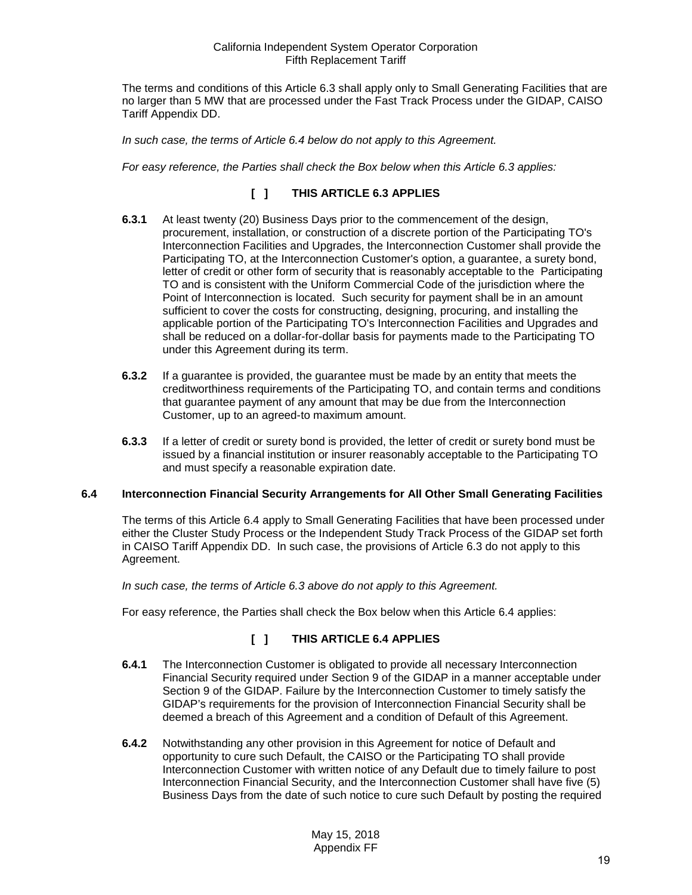The terms and conditions of this Article 6.3 shall apply only to Small Generating Facilities that are no larger than 5 MW that are processed under the Fast Track Process under the GIDAP, CAISO Tariff Appendix DD.

*In such case, the terms of Article 6.4 below do not apply to this Agreement.*

*For easy reference, the Parties shall check the Box below when this Article 6.3 applies:* 

# **[ ] THIS ARTICLE 6.3 APPLIES**

- **6.3.1** At least twenty (20) Business Days prior to the commencement of the design, procurement, installation, or construction of a discrete portion of the Participating TO's Interconnection Facilities and Upgrades, the Interconnection Customer shall provide the Participating TO, at the Interconnection Customer's option, a guarantee, a surety bond, letter of credit or other form of security that is reasonably acceptable to the Participating TO and is consistent with the Uniform Commercial Code of the jurisdiction where the Point of Interconnection is located. Such security for payment shall be in an amount sufficient to cover the costs for constructing, designing, procuring, and installing the applicable portion of the Participating TO's Interconnection Facilities and Upgrades and shall be reduced on a dollar-for-dollar basis for payments made to the Participating TO under this Agreement during its term.
- **6.3.2** If a guarantee is provided, the guarantee must be made by an entity that meets the creditworthiness requirements of the Participating TO, and contain terms and conditions that guarantee payment of any amount that may be due from the Interconnection Customer, up to an agreed-to maximum amount.
- **6.3.3** If a letter of credit or surety bond is provided, the letter of credit or surety bond must be issued by a financial institution or insurer reasonably acceptable to the Participating TO and must specify a reasonable expiration date.

#### <span id="page-18-0"></span>**6.4 Interconnection Financial Security Arrangements for All Other Small Generating Facilities**

The terms of this Article 6.4 apply to Small Generating Facilities that have been processed under either the Cluster Study Process or the Independent Study Track Process of the GIDAP set forth in CAISO Tariff Appendix DD. In such case, the provisions of Article 6.3 do not apply to this Agreement.

*In such case, the terms of Article 6.3 above do not apply to this Agreement.* 

For easy reference, the Parties shall check the Box below when this Article 6.4 applies:

# **[ ] THIS ARTICLE 6.4 APPLIES**

- **6.4.1** The Interconnection Customer is obligated to provide all necessary Interconnection Financial Security required under Section 9 of the GIDAP in a manner acceptable under Section 9 of the GIDAP. Failure by the Interconnection Customer to timely satisfy the GIDAP's requirements for the provision of Interconnection Financial Security shall be deemed a breach of this Agreement and a condition of Default of this Agreement.
- **6.4.2** Notwithstanding any other provision in this Agreement for notice of Default and opportunity to cure such Default, the CAISO or the Participating TO shall provide Interconnection Customer with written notice of any Default due to timely failure to post Interconnection Financial Security, and the Interconnection Customer shall have five (5) Business Days from the date of such notice to cure such Default by posting the required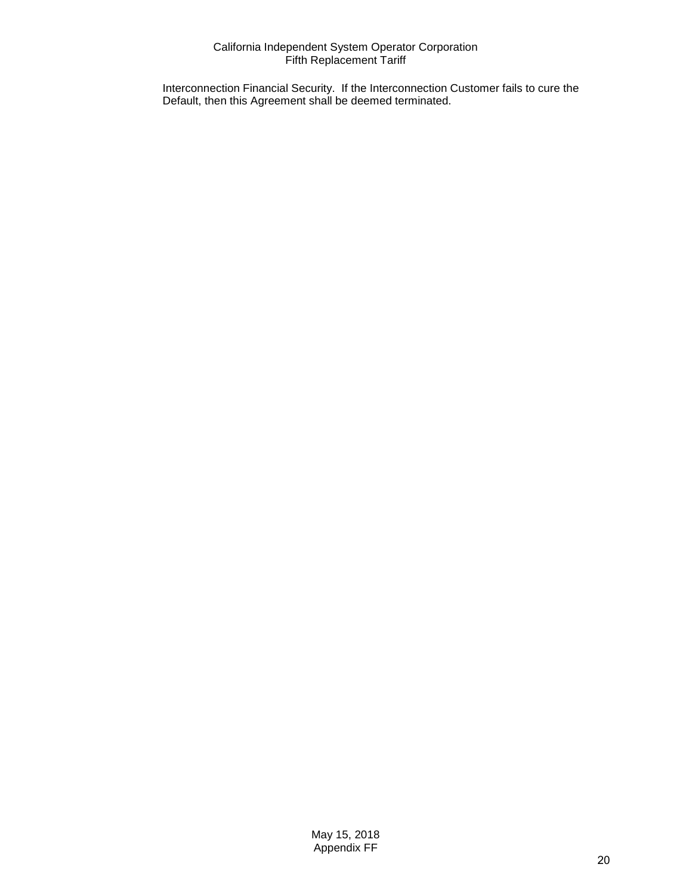Interconnection Financial Security. If the Interconnection Customer fails to cure the Default, then this Agreement shall be deemed terminated.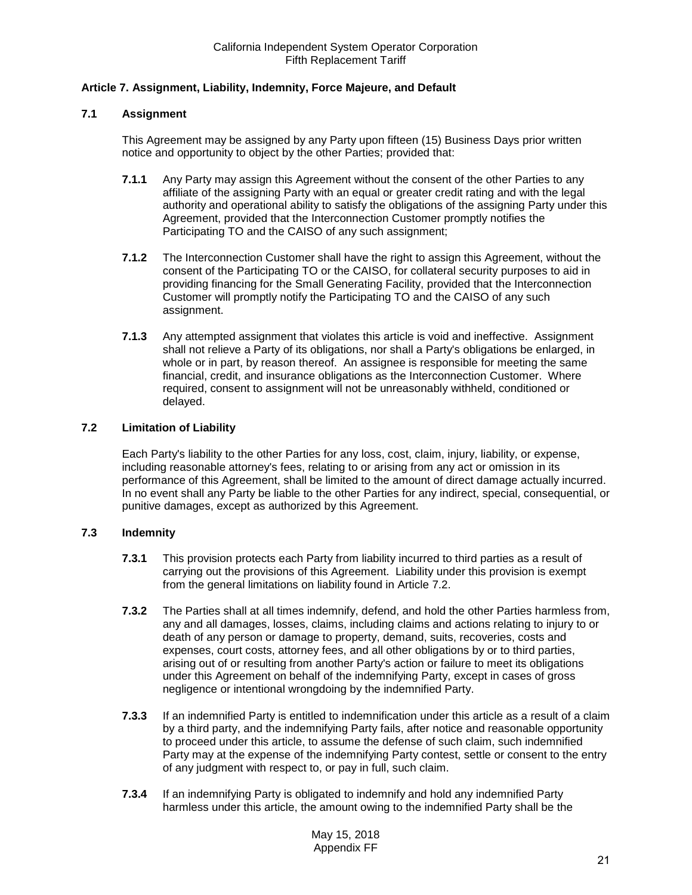## <span id="page-20-0"></span>**Article 7. Assignment, Liability, Indemnity, Force Majeure, and Default**

## <span id="page-20-1"></span>**7.1 Assignment**

This Agreement may be assigned by any Party upon fifteen (15) Business Days prior written notice and opportunity to object by the other Parties; provided that:

- **7.1.1** Any Party may assign this Agreement without the consent of the other Parties to any affiliate of the assigning Party with an equal or greater credit rating and with the legal authority and operational ability to satisfy the obligations of the assigning Party under this Agreement, provided that the Interconnection Customer promptly notifies the Participating TO and the CAISO of any such assignment;
- **7.1.2** The Interconnection Customer shall have the right to assign this Agreement, without the consent of the Participating TO or the CAISO, for collateral security purposes to aid in providing financing for the Small Generating Facility, provided that the Interconnection Customer will promptly notify the Participating TO and the CAISO of any such assignment.
- **7.1.3** Any attempted assignment that violates this article is void and ineffective. Assignment shall not relieve a Party of its obligations, nor shall a Party's obligations be enlarged, in whole or in part, by reason thereof. An assignee is responsible for meeting the same financial, credit, and insurance obligations as the Interconnection Customer. Where required, consent to assignment will not be unreasonably withheld, conditioned or delayed.

## <span id="page-20-2"></span>**7.2 Limitation of Liability**

Each Party's liability to the other Parties for any loss, cost, claim, injury, liability, or expense, including reasonable attorney's fees, relating to or arising from any act or omission in its performance of this Agreement, shall be limited to the amount of direct damage actually incurred. In no event shall any Party be liable to the other Parties for any indirect, special, consequential, or punitive damages, except as authorized by this Agreement.

## <span id="page-20-3"></span>**7.3 Indemnity**

- **7.3.1** This provision protects each Party from liability incurred to third parties as a result of carrying out the provisions of this Agreement. Liability under this provision is exempt from the general limitations on liability found in Article 7.2.
- **7.3.2** The Parties shall at all times indemnify, defend, and hold the other Parties harmless from, any and all damages, losses, claims, including claims and actions relating to injury to or death of any person or damage to property, demand, suits, recoveries, costs and expenses, court costs, attorney fees, and all other obligations by or to third parties, arising out of or resulting from another Party's action or failure to meet its obligations under this Agreement on behalf of the indemnifying Party, except in cases of gross negligence or intentional wrongdoing by the indemnified Party.
- **7.3.3** If an indemnified Party is entitled to indemnification under this article as a result of a claim by a third party, and the indemnifying Party fails, after notice and reasonable opportunity to proceed under this article, to assume the defense of such claim, such indemnified Party may at the expense of the indemnifying Party contest, settle or consent to the entry of any judgment with respect to, or pay in full, such claim.
- **7.3.4** If an indemnifying Party is obligated to indemnify and hold any indemnified Party harmless under this article, the amount owing to the indemnified Party shall be the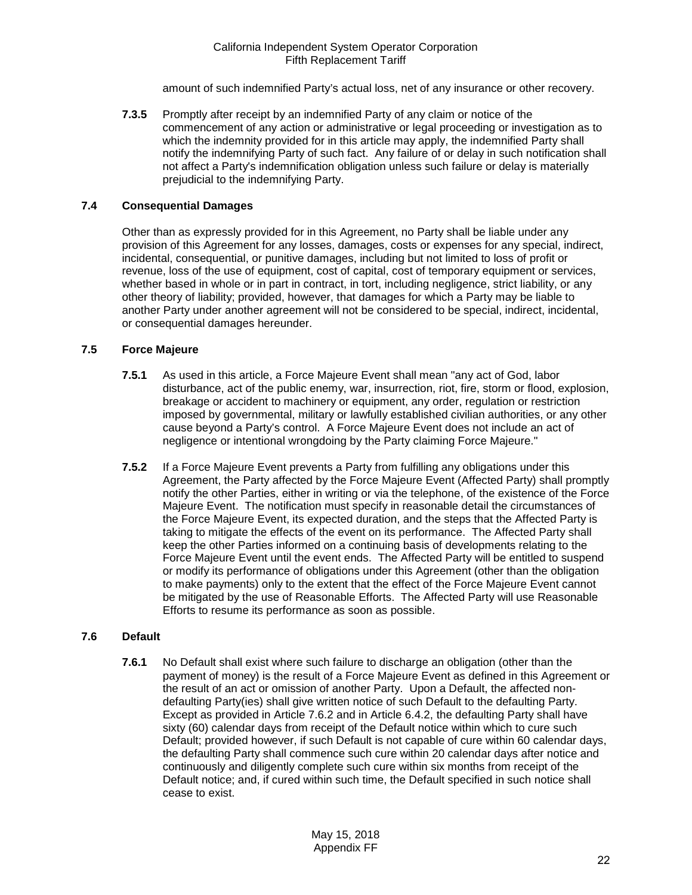amount of such indemnified Party's actual loss, net of any insurance or other recovery.

**7.3.5** Promptly after receipt by an indemnified Party of any claim or notice of the commencement of any action or administrative or legal proceeding or investigation as to which the indemnity provided for in this article may apply, the indemnified Party shall notify the indemnifying Party of such fact. Any failure of or delay in such notification shall not affect a Party's indemnification obligation unless such failure or delay is materially prejudicial to the indemnifying Party.

## <span id="page-21-0"></span>**7.4 Consequential Damages**

Other than as expressly provided for in this Agreement, no Party shall be liable under any provision of this Agreement for any losses, damages, costs or expenses for any special, indirect, incidental, consequential, or punitive damages, including but not limited to loss of profit or revenue, loss of the use of equipment, cost of capital, cost of temporary equipment or services, whether based in whole or in part in contract, in tort, including negligence, strict liability, or any other theory of liability; provided, however, that damages for which a Party may be liable to another Party under another agreement will not be considered to be special, indirect, incidental, or consequential damages hereunder.

#### <span id="page-21-1"></span>**7.5 Force Majeure**

- **7.5.1** As used in this article, a Force Majeure Event shall mean "any act of God, labor disturbance, act of the public enemy, war, insurrection, riot, fire, storm or flood, explosion, breakage or accident to machinery or equipment, any order, regulation or restriction imposed by governmental, military or lawfully established civilian authorities, or any other cause beyond a Party's control. A Force Majeure Event does not include an act of negligence or intentional wrongdoing by the Party claiming Force Majeure."
- **7.5.2** If a Force Majeure Event prevents a Party from fulfilling any obligations under this Agreement, the Party affected by the Force Majeure Event (Affected Party) shall promptly notify the other Parties, either in writing or via the telephone, of the existence of the Force Majeure Event. The notification must specify in reasonable detail the circumstances of the Force Majeure Event, its expected duration, and the steps that the Affected Party is taking to mitigate the effects of the event on its performance. The Affected Party shall keep the other Parties informed on a continuing basis of developments relating to the Force Majeure Event until the event ends. The Affected Party will be entitled to suspend or modify its performance of obligations under this Agreement (other than the obligation to make payments) only to the extent that the effect of the Force Majeure Event cannot be mitigated by the use of Reasonable Efforts. The Affected Party will use Reasonable Efforts to resume its performance as soon as possible.

## <span id="page-21-2"></span>**7.6 Default**

**7.6.1** No Default shall exist where such failure to discharge an obligation (other than the payment of money) is the result of a Force Majeure Event as defined in this Agreement or the result of an act or omission of another Party. Upon a Default, the affected nondefaulting Party(ies) shall give written notice of such Default to the defaulting Party. Except as provided in Article 7.6.2 and in Article 6.4.2, the defaulting Party shall have sixty (60) calendar days from receipt of the Default notice within which to cure such Default; provided however, if such Default is not capable of cure within 60 calendar days, the defaulting Party shall commence such cure within 20 calendar days after notice and continuously and diligently complete such cure within six months from receipt of the Default notice; and, if cured within such time, the Default specified in such notice shall cease to exist.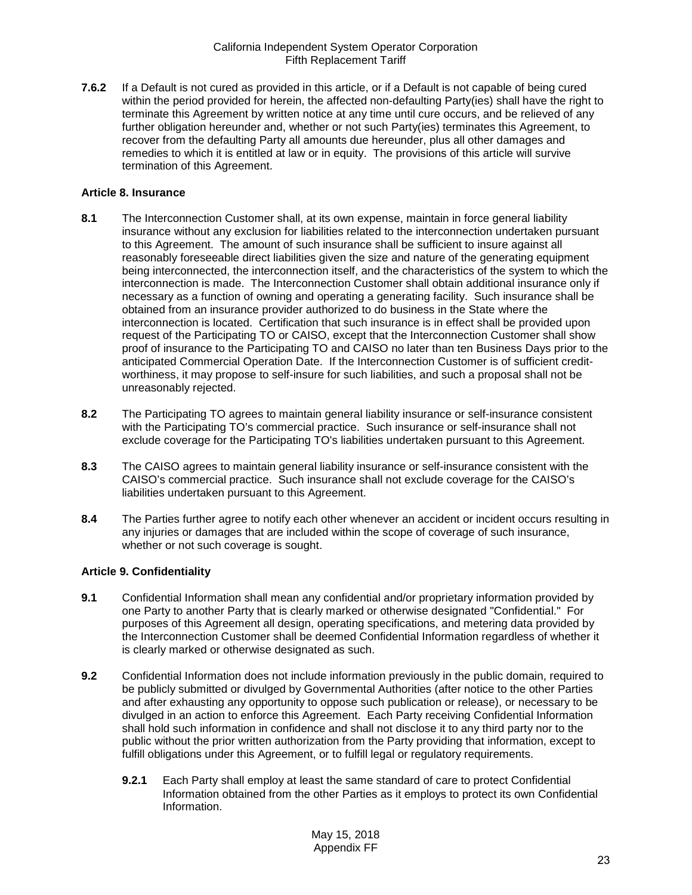**7.6.2** If a Default is not cured as provided in this article, or if a Default is not capable of being cured within the period provided for herein, the affected non-defaulting Party(ies) shall have the right to terminate this Agreement by written notice at any time until cure occurs, and be relieved of any further obligation hereunder and, whether or not such Party(ies) terminates this Agreement, to recover from the defaulting Party all amounts due hereunder, plus all other damages and remedies to which it is entitled at law or in equity. The provisions of this article will survive termination of this Agreement.

#### <span id="page-22-0"></span>**Article 8. Insurance**

- <span id="page-22-1"></span>**8.1** The Interconnection Customer shall, at its own expense, maintain in force general liability insurance without any exclusion for liabilities related to the interconnection undertaken pursuant to this Agreement. The amount of such insurance shall be sufficient to insure against all reasonably foreseeable direct liabilities given the size and nature of the generating equipment being interconnected, the interconnection itself, and the characteristics of the system to which the interconnection is made. The Interconnection Customer shall obtain additional insurance only if necessary as a function of owning and operating a generating facility. Such insurance shall be obtained from an insurance provider authorized to do business in the State where the interconnection is located. Certification that such insurance is in effect shall be provided upon request of the Participating TO or CAISO, except that the Interconnection Customer shall show proof of insurance to the Participating TO and CAISO no later than ten Business Days prior to the anticipated Commercial Operation Date. If the Interconnection Customer is of sufficient creditworthiness, it may propose to self-insure for such liabilities, and such a proposal shall not be unreasonably rejected.
- <span id="page-22-2"></span>**8.2** The Participating TO agrees to maintain general liability insurance or self-insurance consistent with the Participating TO's commercial practice. Such insurance or self-insurance shall not exclude coverage for the Participating TO's liabilities undertaken pursuant to this Agreement.
- <span id="page-22-3"></span>**8.3** The CAISO agrees to maintain general liability insurance or self-insurance consistent with the CAISO's commercial practice. Such insurance shall not exclude coverage for the CAISO's liabilities undertaken pursuant to this Agreement.
- <span id="page-22-4"></span>**8.4** The Parties further agree to notify each other whenever an accident or incident occurs resulting in any injuries or damages that are included within the scope of coverage of such insurance, whether or not such coverage is sought.

## <span id="page-22-5"></span>**Article 9. Confidentiality**

- <span id="page-22-6"></span>**9.1** Confidential Information shall mean any confidential and/or proprietary information provided by one Party to another Party that is clearly marked or otherwise designated "Confidential." For purposes of this Agreement all design, operating specifications, and metering data provided by the Interconnection Customer shall be deemed Confidential Information regardless of whether it is clearly marked or otherwise designated as such.
- <span id="page-22-7"></span>**9.2** Confidential Information does not include information previously in the public domain, required to be publicly submitted or divulged by Governmental Authorities (after notice to the other Parties and after exhausting any opportunity to oppose such publication or release), or necessary to be divulged in an action to enforce this Agreement. Each Party receiving Confidential Information shall hold such information in confidence and shall not disclose it to any third party nor to the public without the prior written authorization from the Party providing that information, except to fulfill obligations under this Agreement, or to fulfill legal or regulatory requirements.
	- **9.2.1** Each Party shall employ at least the same standard of care to protect Confidential Information obtained from the other Parties as it employs to protect its own Confidential Information.

May 15, 2018 Appendix FF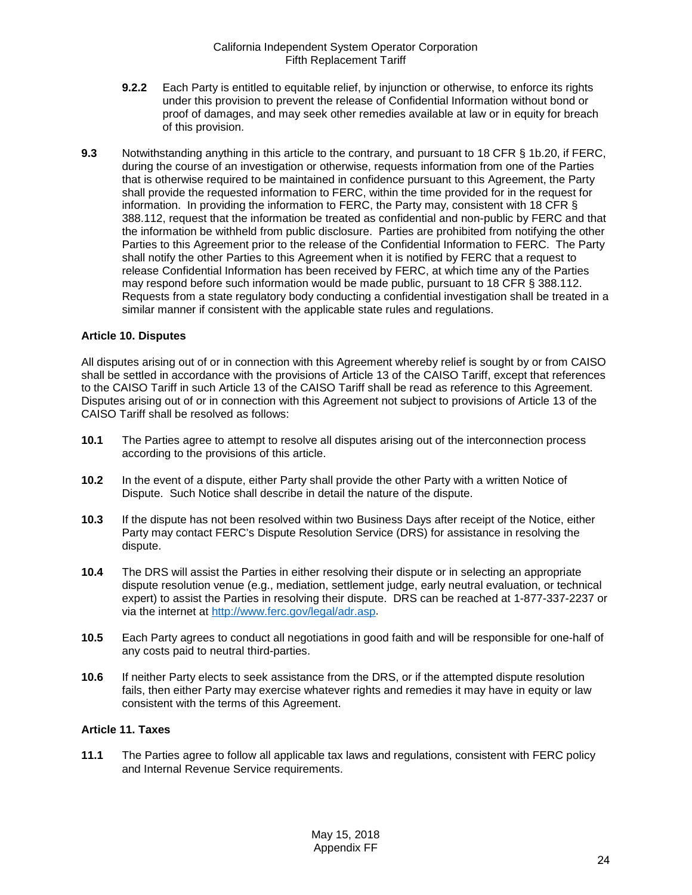- **9.2.2** Each Party is entitled to equitable relief, by injunction or otherwise, to enforce its rights under this provision to prevent the release of Confidential Information without bond or proof of damages, and may seek other remedies available at law or in equity for breach of this provision.
- <span id="page-23-0"></span>**9.3** Notwithstanding anything in this article to the contrary, and pursuant to 18 CFR § 1b.20, if FERC, during the course of an investigation or otherwise, requests information from one of the Parties that is otherwise required to be maintained in confidence pursuant to this Agreement, the Party shall provide the requested information to FERC, within the time provided for in the request for information. In providing the information to FERC, the Party may, consistent with 18 CFR § 388.112, request that the information be treated as confidential and non-public by FERC and that the information be withheld from public disclosure. Parties are prohibited from notifying the other Parties to this Agreement prior to the release of the Confidential Information to FERC. The Party shall notify the other Parties to this Agreement when it is notified by FERC that a request to release Confidential Information has been received by FERC, at which time any of the Parties may respond before such information would be made public, pursuant to 18 CFR § 388.112. Requests from a state regulatory body conducting a confidential investigation shall be treated in a similar manner if consistent with the applicable state rules and regulations.

#### <span id="page-23-1"></span>**Article 10. Disputes**

All disputes arising out of or in connection with this Agreement whereby relief is sought by or from CAISO shall be settled in accordance with the provisions of Article 13 of the CAISO Tariff, except that references to the CAISO Tariff in such Article 13 of the CAISO Tariff shall be read as reference to this Agreement. Disputes arising out of or in connection with this Agreement not subject to provisions of Article 13 of the CAISO Tariff shall be resolved as follows:

- <span id="page-23-2"></span>**10.1** The Parties agree to attempt to resolve all disputes arising out of the interconnection process according to the provisions of this article.
- <span id="page-23-3"></span>**10.2** In the event of a dispute, either Party shall provide the other Party with a written Notice of Dispute. Such Notice shall describe in detail the nature of the dispute.
- <span id="page-23-4"></span>**10.3** If the dispute has not been resolved within two Business Days after receipt of the Notice, either Party may contact FERC's Dispute Resolution Service (DRS) for assistance in resolving the dispute.
- <span id="page-23-5"></span>**10.4** The DRS will assist the Parties in either resolving their dispute or in selecting an appropriate dispute resolution venue (e.g., mediation, settlement judge, early neutral evaluation, or technical expert) to assist the Parties in resolving their dispute. DRS can be reached at 1-877-337-2237 or via the internet at [http://www.ferc.gov/legal/adr.asp.](http://www.ferc.gov/legal/adr.asp)
- <span id="page-23-6"></span>**10.5** Each Party agrees to conduct all negotiations in good faith and will be responsible for one-half of any costs paid to neutral third-parties.
- <span id="page-23-7"></span>**10.6** If neither Party elects to seek assistance from the DRS, or if the attempted dispute resolution fails, then either Party may exercise whatever rights and remedies it may have in equity or law consistent with the terms of this Agreement.

#### <span id="page-23-8"></span>**Article 11. Taxes**

<span id="page-23-9"></span>**11.1** The Parties agree to follow all applicable tax laws and regulations, consistent with FERC policy and Internal Revenue Service requirements.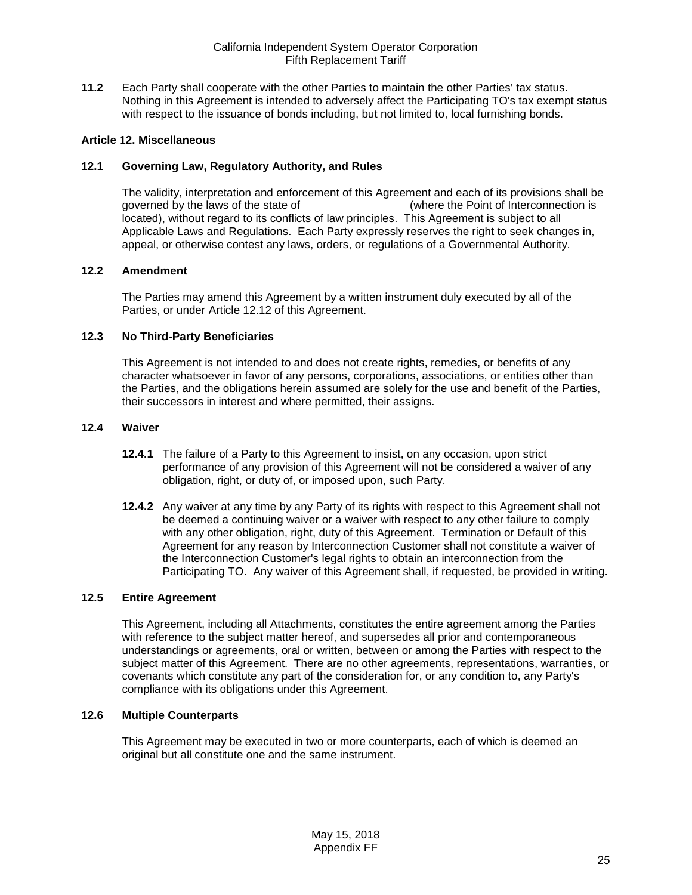<span id="page-24-0"></span>**11.2** Each Party shall cooperate with the other Parties to maintain the other Parties' tax status. Nothing in this Agreement is intended to adversely affect the Participating TO's tax exempt status with respect to the issuance of bonds including, but not limited to, local furnishing bonds.

#### <span id="page-24-1"></span>**Article 12. Miscellaneous**

#### <span id="page-24-2"></span>**12.1 Governing Law, Regulatory Authority, and Rules**

The validity, interpretation and enforcement of this Agreement and each of its provisions shall be governed by the laws of the state of (where the Point of Interconnection is (where the Point of Interconnection is located), without regard to its conflicts of law principles. This Agreement is subject to all Applicable Laws and Regulations. Each Party expressly reserves the right to seek changes in, appeal, or otherwise contest any laws, orders, or regulations of a Governmental Authority.

#### <span id="page-24-3"></span>**12.2 Amendment**

The Parties may amend this Agreement by a written instrument duly executed by all of the Parties, or under Article 12.12 of this Agreement.

#### <span id="page-24-4"></span>**12.3 No Third-Party Beneficiaries**

This Agreement is not intended to and does not create rights, remedies, or benefits of any character whatsoever in favor of any persons, corporations, associations, or entities other than the Parties, and the obligations herein assumed are solely for the use and benefit of the Parties, their successors in interest and where permitted, their assigns.

#### <span id="page-24-5"></span>**12.4 Waiver**

- **12.4.1** The failure of a Party to this Agreement to insist, on any occasion, upon strict performance of any provision of this Agreement will not be considered a waiver of any obligation, right, or duty of, or imposed upon, such Party.
- **12.4.2** Any waiver at any time by any Party of its rights with respect to this Agreement shall not be deemed a continuing waiver or a waiver with respect to any other failure to comply with any other obligation, right, duty of this Agreement. Termination or Default of this Agreement for any reason by Interconnection Customer shall not constitute a waiver of the Interconnection Customer's legal rights to obtain an interconnection from the Participating TO. Any waiver of this Agreement shall, if requested, be provided in writing.

## <span id="page-24-6"></span>**12.5 Entire Agreement**

This Agreement, including all Attachments, constitutes the entire agreement among the Parties with reference to the subject matter hereof, and supersedes all prior and contemporaneous understandings or agreements, oral or written, between or among the Parties with respect to the subject matter of this Agreement. There are no other agreements, representations, warranties, or covenants which constitute any part of the consideration for, or any condition to, any Party's compliance with its obligations under this Agreement.

#### <span id="page-24-7"></span>**12.6 Multiple Counterparts**

This Agreement may be executed in two or more counterparts, each of which is deemed an original but all constitute one and the same instrument.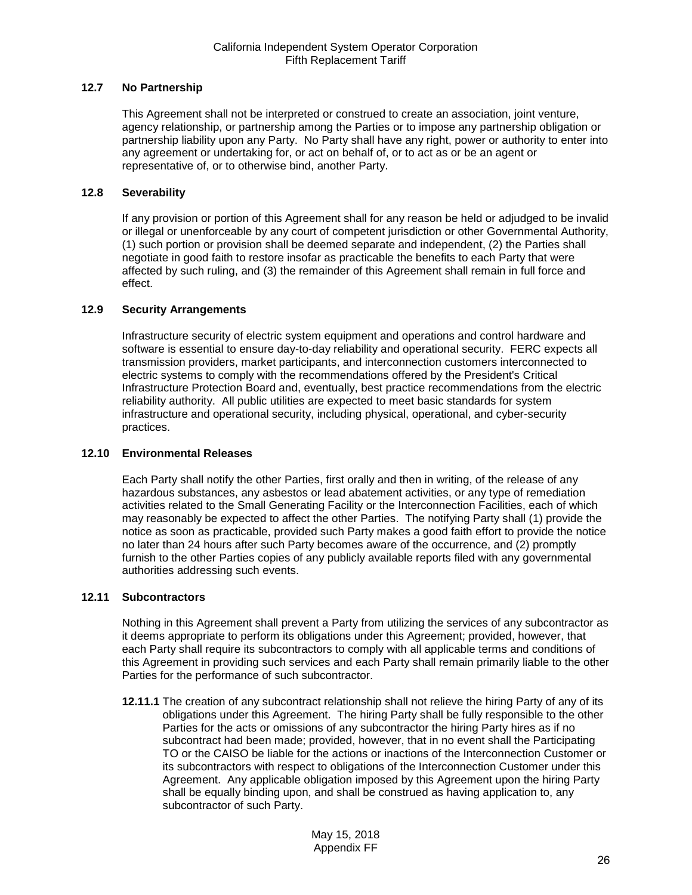## <span id="page-25-0"></span>**12.7 No Partnership**

This Agreement shall not be interpreted or construed to create an association, joint venture, agency relationship, or partnership among the Parties or to impose any partnership obligation or partnership liability upon any Party. No Party shall have any right, power or authority to enter into any agreement or undertaking for, or act on behalf of, or to act as or be an agent or representative of, or to otherwise bind, another Party.

## <span id="page-25-1"></span>**12.8 Severability**

If any provision or portion of this Agreement shall for any reason be held or adjudged to be invalid or illegal or unenforceable by any court of competent jurisdiction or other Governmental Authority, (1) such portion or provision shall be deemed separate and independent, (2) the Parties shall negotiate in good faith to restore insofar as practicable the benefits to each Party that were affected by such ruling, and (3) the remainder of this Agreement shall remain in full force and effect.

## <span id="page-25-2"></span>**12.9 Security Arrangements**

Infrastructure security of electric system equipment and operations and control hardware and software is essential to ensure day-to-day reliability and operational security. FERC expects all transmission providers, market participants, and interconnection customers interconnected to electric systems to comply with the recommendations offered by the President's Critical Infrastructure Protection Board and, eventually, best practice recommendations from the electric reliability authority. All public utilities are expected to meet basic standards for system infrastructure and operational security, including physical, operational, and cyber-security practices.

## <span id="page-25-3"></span>**12.10 Environmental Releases**

Each Party shall notify the other Parties, first orally and then in writing, of the release of any hazardous substances, any asbestos or lead abatement activities, or any type of remediation activities related to the Small Generating Facility or the Interconnection Facilities, each of which may reasonably be expected to affect the other Parties. The notifying Party shall (1) provide the notice as soon as practicable, provided such Party makes a good faith effort to provide the notice no later than 24 hours after such Party becomes aware of the occurrence, and (2) promptly furnish to the other Parties copies of any publicly available reports filed with any governmental authorities addressing such events.

## <span id="page-25-4"></span>**12.11 Subcontractors**

Nothing in this Agreement shall prevent a Party from utilizing the services of any subcontractor as it deems appropriate to perform its obligations under this Agreement; provided, however, that each Party shall require its subcontractors to comply with all applicable terms and conditions of this Agreement in providing such services and each Party shall remain primarily liable to the other Parties for the performance of such subcontractor.

**12.11.1** The creation of any subcontract relationship shall not relieve the hiring Party of any of its obligations under this Agreement. The hiring Party shall be fully responsible to the other Parties for the acts or omissions of any subcontractor the hiring Party hires as if no subcontract had been made; provided, however, that in no event shall the Participating TO or the CAISO be liable for the actions or inactions of the Interconnection Customer or its subcontractors with respect to obligations of the Interconnection Customer under this Agreement. Any applicable obligation imposed by this Agreement upon the hiring Party shall be equally binding upon, and shall be construed as having application to, any subcontractor of such Party.

> May 15, 2018 Appendix FF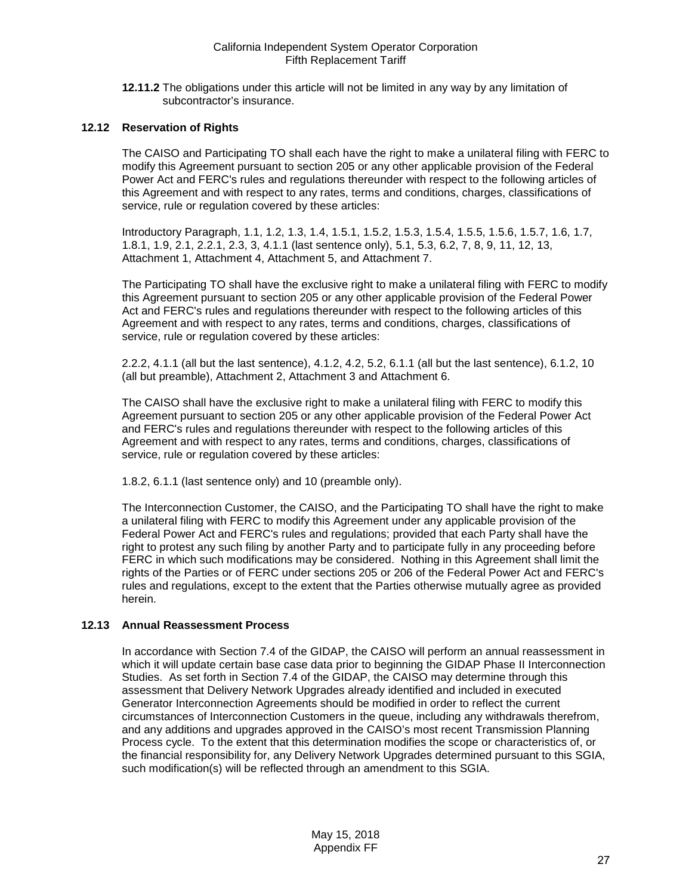**12.11.2** The obligations under this article will not be limited in any way by any limitation of subcontractor's insurance.

## <span id="page-26-0"></span>**12.12 Reservation of Rights**

The CAISO and Participating TO shall each have the right to make a unilateral filing with FERC to modify this Agreement pursuant to section 205 or any other applicable provision of the Federal Power Act and FERC's rules and regulations thereunder with respect to the following articles of this Agreement and with respect to any rates, terms and conditions, charges, classifications of service, rule or regulation covered by these articles:

Introductory Paragraph, 1.1, 1.2, 1.3, 1.4, 1.5.1, 1.5.2, 1.5.3, 1.5.4, 1.5.5, 1.5.6, 1.5.7, 1.6, 1.7, 1.8.1, 1.9, 2.1, 2.2.1, 2.3, 3, 4.1.1 (last sentence only), 5.1, 5.3, 6.2, 7, 8, 9, 11, 12, 13, Attachment 1, Attachment 4, Attachment 5, and Attachment 7.

The Participating TO shall have the exclusive right to make a unilateral filing with FERC to modify this Agreement pursuant to section 205 or any other applicable provision of the Federal Power Act and FERC's rules and regulations thereunder with respect to the following articles of this Agreement and with respect to any rates, terms and conditions, charges, classifications of service, rule or regulation covered by these articles:

2.2.2, 4.1.1 (all but the last sentence), 4.1.2, 4.2, 5.2, 6.1.1 (all but the last sentence), 6.1.2, 10 (all but preamble), Attachment 2, Attachment 3 and Attachment 6.

The CAISO shall have the exclusive right to make a unilateral filing with FERC to modify this Agreement pursuant to section 205 or any other applicable provision of the Federal Power Act and FERC's rules and regulations thereunder with respect to the following articles of this Agreement and with respect to any rates, terms and conditions, charges, classifications of service, rule or regulation covered by these articles:

1.8.2, 6.1.1 (last sentence only) and 10 (preamble only).

The Interconnection Customer, the CAISO, and the Participating TO shall have the right to make a unilateral filing with FERC to modify this Agreement under any applicable provision of the Federal Power Act and FERC's rules and regulations; provided that each Party shall have the right to protest any such filing by another Party and to participate fully in any proceeding before FERC in which such modifications may be considered. Nothing in this Agreement shall limit the rights of the Parties or of FERC under sections 205 or 206 of the Federal Power Act and FERC's rules and regulations, except to the extent that the Parties otherwise mutually agree as provided herein.

#### <span id="page-26-1"></span>**12.13 Annual Reassessment Process**

In accordance with Section 7.4 of the GIDAP, the CAISO will perform an annual reassessment in which it will update certain base case data prior to beginning the GIDAP Phase II Interconnection Studies. As set forth in Section 7.4 of the GIDAP, the CAISO may determine through this assessment that Delivery Network Upgrades already identified and included in executed Generator Interconnection Agreements should be modified in order to reflect the current circumstances of Interconnection Customers in the queue, including any withdrawals therefrom, and any additions and upgrades approved in the CAISO's most recent Transmission Planning Process cycle. To the extent that this determination modifies the scope or characteristics of, or the financial responsibility for, any Delivery Network Upgrades determined pursuant to this SGIA, such modification(s) will be reflected through an amendment to this SGIA.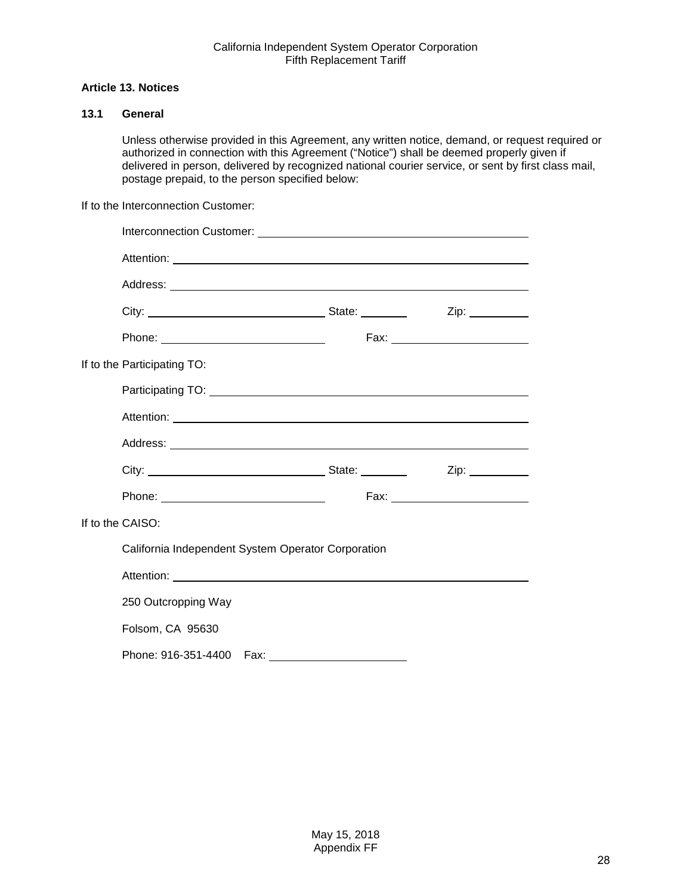## <span id="page-27-0"></span>**Article 13. Notices**

# <span id="page-27-1"></span>**13.1 General**

Unless otherwise provided in this Agreement, any written notice, demand, or request required or authorized in connection with this Agreement ("Notice") shall be deemed properly given if delivered in person, delivered by recognized national courier service, or sent by first class mail, postage prepaid, to the person specified below:

If to the Interconnection Customer:

|                                                    |                             |  | Fax: _________________________ |
|----------------------------------------------------|-----------------------------|--|--------------------------------|
|                                                    | If to the Participating TO: |  |                                |
|                                                    |                             |  |                                |
|                                                    |                             |  |                                |
|                                                    |                             |  |                                |
|                                                    |                             |  |                                |
|                                                    |                             |  |                                |
| If to the CAISO:                                   |                             |  |                                |
| California Independent System Operator Corporation |                             |  |                                |
|                                                    |                             |  |                                |
|                                                    | 250 Outcropping Way         |  |                                |
|                                                    | Folsom, CA 95630            |  |                                |
|                                                    |                             |  |                                |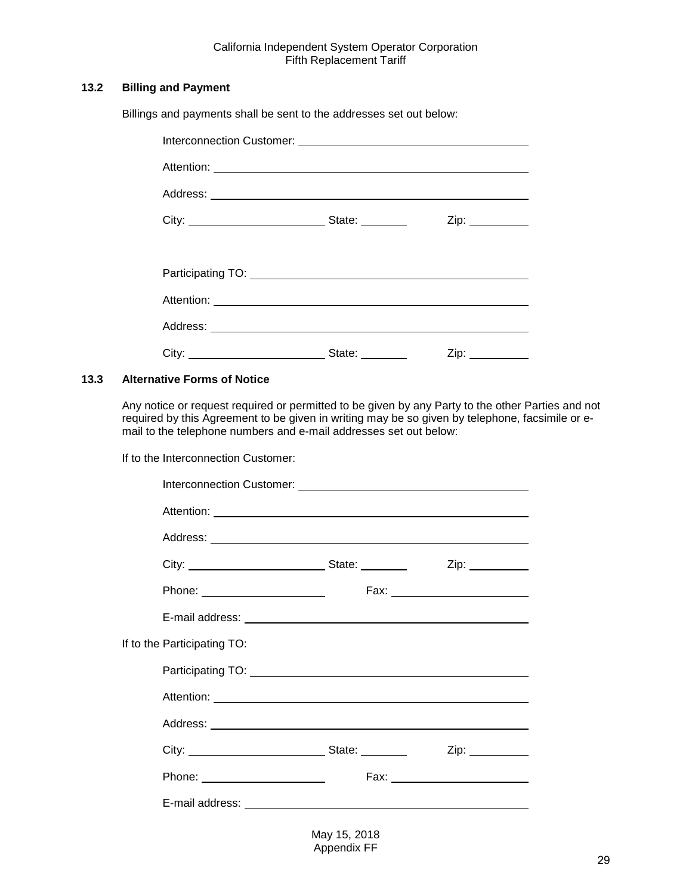## <span id="page-28-0"></span>**13.2 Billing and Payment**

Billings and payments shall be sent to the addresses set out below:

|                                                                                                                                                                                                                                      |                                                                                                                                                                                                                                | $Zip: \_\_\_\_\_\_\_\_\_\_\_\_\_\_\_\_\_\_\_\_\_\_\_\_\_\_\_\_\_\_$ |
|--------------------------------------------------------------------------------------------------------------------------------------------------------------------------------------------------------------------------------------|--------------------------------------------------------------------------------------------------------------------------------------------------------------------------------------------------------------------------------|---------------------------------------------------------------------|
|                                                                                                                                                                                                                                      |                                                                                                                                                                                                                                |                                                                     |
| Participating TO: <u>contract and a set of the set of the set of the set of the set of the set of the set of the set of the set of the set of the set of the set of the set of the set of the set of the set of the set of the s</u> |                                                                                                                                                                                                                                |                                                                     |
|                                                                                                                                                                                                                                      |                                                                                                                                                                                                                                |                                                                     |
|                                                                                                                                                                                                                                      |                                                                                                                                                                                                                                |                                                                     |
|                                                                                                                                                                                                                                      | State: and the state of the state of the state of the state of the state of the state of the state of the state of the state of the state of the state of the state of the state of the state of the state of the state of the | $\mathsf{Zip:}\_\_\_\_\_\_\_\_\_\$                                  |

#### <span id="page-28-1"></span>**13.3 Alternative Forms of Notice**

Any notice or request required or permitted to be given by any Party to the other Parties and not required by this Agreement to be given in writing may be so given by telephone, facsimile or email to the telephone numbers and e-mail addresses set out below:

If to the Interconnection Customer:

|                             | Interconnection Customer: <u>contained and contained and contained and contained and contained and contained and contained and contained and contained and contained and contained and contained and contained and contained and</u> |                                  |
|-----------------------------|--------------------------------------------------------------------------------------------------------------------------------------------------------------------------------------------------------------------------------------|----------------------------------|
|                             |                                                                                                                                                                                                                                      |                                  |
|                             |                                                                                                                                                                                                                                      |                                  |
|                             |                                                                                                                                                                                                                                      |                                  |
|                             |                                                                                                                                                                                                                                      | Fax: ___________________________ |
|                             |                                                                                                                                                                                                                                      |                                  |
| If to the Participating TO: |                                                                                                                                                                                                                                      |                                  |
|                             |                                                                                                                                                                                                                                      |                                  |
|                             |                                                                                                                                                                                                                                      |                                  |
|                             |                                                                                                                                                                                                                                      |                                  |
|                             |                                                                                                                                                                                                                                      |                                  |
|                             |                                                                                                                                                                                                                                      |                                  |
|                             |                                                                                                                                                                                                                                      |                                  |
|                             |                                                                                                                                                                                                                                      |                                  |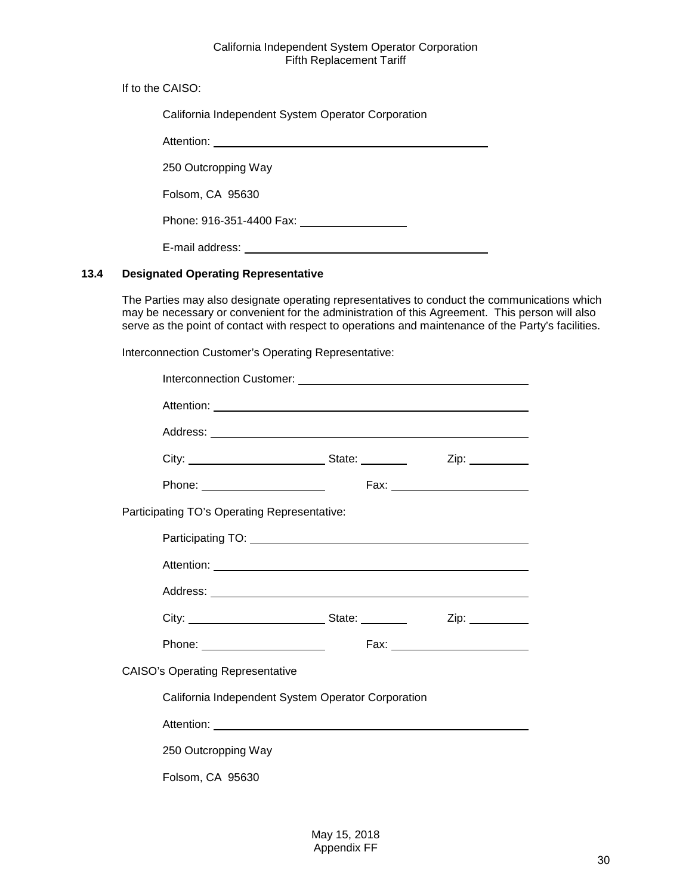If to the CAISO:

| California Independent System Operator Corporation |  |
|----------------------------------------------------|--|
| Attention:                                         |  |
| 250 Outcropping Way                                |  |
| Folsom, CA 95630                                   |  |
| Phone: 916-351-4400 Fax:                           |  |
| E-mail address:                                    |  |

# <span id="page-29-0"></span>**13.4 Designated Operating Representative**

The Parties may also designate operating representatives to conduct the communications which may be necessary or convenient for the administration of this Agreement. This person will also serve as the point of contact with respect to operations and maintenance of the Party's facilities.

Interconnection Customer's Operating Representative:

| Interconnection Customer: <b>container and container and container and container and container and container and container and container and container and container and container and container and container and container and</b> |  |  |
|--------------------------------------------------------------------------------------------------------------------------------------------------------------------------------------------------------------------------------------|--|--|
|                                                                                                                                                                                                                                      |  |  |
|                                                                                                                                                                                                                                      |  |  |
|                                                                                                                                                                                                                                      |  |  |
| Phone: _________________________                                                                                                                                                                                                     |  |  |
| Participating TO's Operating Representative:                                                                                                                                                                                         |  |  |
|                                                                                                                                                                                                                                      |  |  |
|                                                                                                                                                                                                                                      |  |  |
|                                                                                                                                                                                                                                      |  |  |
|                                                                                                                                                                                                                                      |  |  |
| Phone: _________________________                                                                                                                                                                                                     |  |  |
| <b>CAISO's Operating Representative</b>                                                                                                                                                                                              |  |  |
| California Independent System Operator Corporation                                                                                                                                                                                   |  |  |
|                                                                                                                                                                                                                                      |  |  |
| 250 Outcropping Way                                                                                                                                                                                                                  |  |  |
| Folsom, CA 95630                                                                                                                                                                                                                     |  |  |
|                                                                                                                                                                                                                                      |  |  |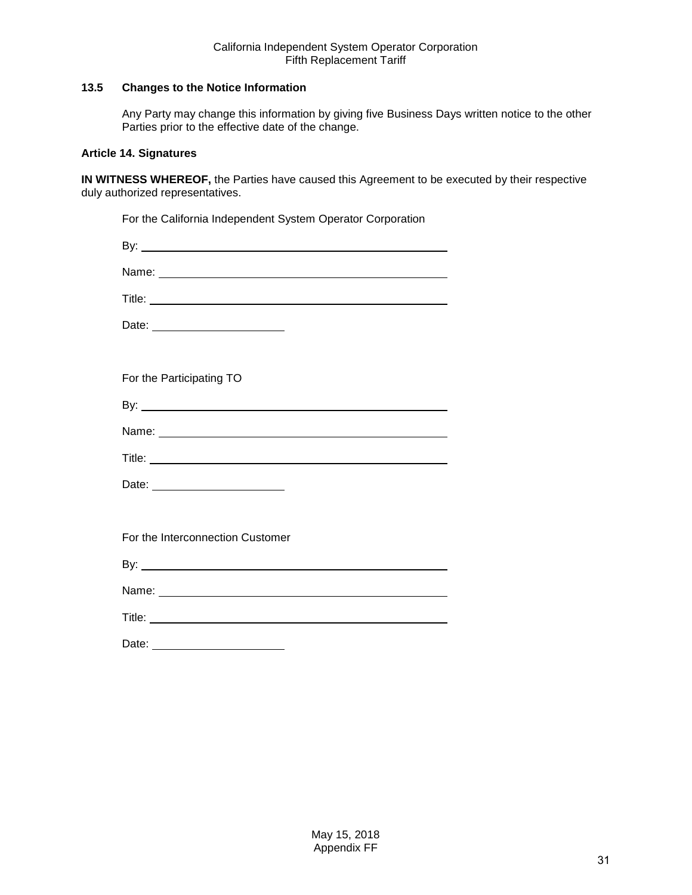## <span id="page-30-0"></span>**13.5 Changes to the Notice Information**

Any Party may change this information by giving five Business Days written notice to the other Parties prior to the effective date of the change.

## <span id="page-30-1"></span>**Article 14. Signatures**

**IN WITNESS WHEREOF,** the Parties have caused this Agreement to be executed by their respective duly authorized representatives.

| For the California Independent System Operator Corporation |
|------------------------------------------------------------|
|                                                            |
|                                                            |
|                                                            |
| Date: __________________________                           |
|                                                            |
| For the Participating TO                                   |
|                                                            |
|                                                            |
|                                                            |
|                                                            |
|                                                            |
| For the Interconnection Customer                           |
|                                                            |
|                                                            |
|                                                            |
| Date:                                                      |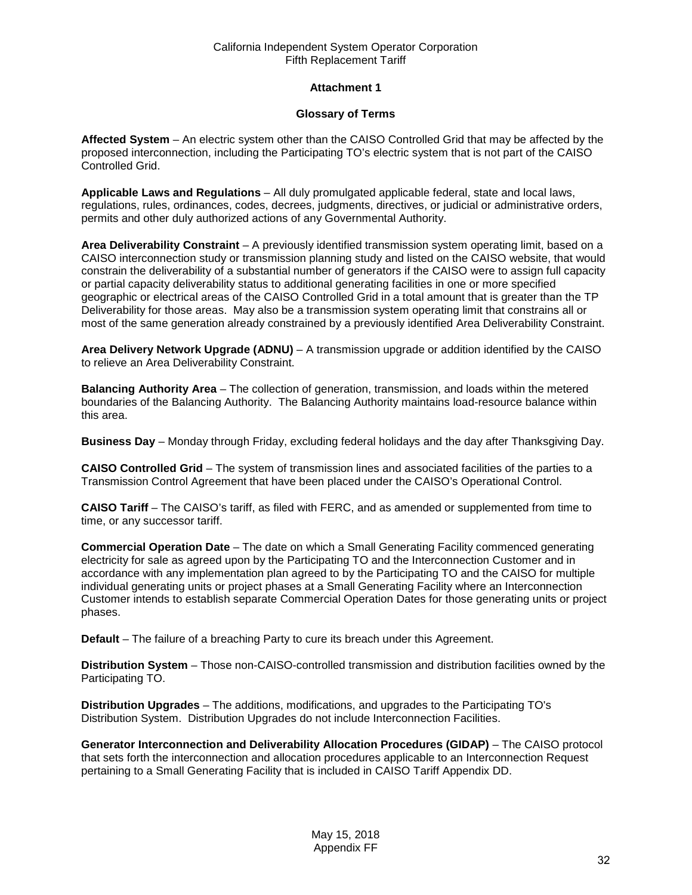## **Attachment 1**

## **Glossary of Terms**

<span id="page-31-0"></span>**Affected System** – An electric system other than the CAISO Controlled Grid that may be affected by the proposed interconnection, including the Participating TO's electric system that is not part of the CAISO Controlled Grid.

**Applicable Laws and Regulations** – All duly promulgated applicable federal, state and local laws, regulations, rules, ordinances, codes, decrees, judgments, directives, or judicial or administrative orders, permits and other duly authorized actions of any Governmental Authority.

**Area Deliverability Constraint** – A previously identified transmission system operating limit, based on a CAISO interconnection study or transmission planning study and listed on the CAISO website, that would constrain the deliverability of a substantial number of generators if the CAISO were to assign full capacity or partial capacity deliverability status to additional generating facilities in one or more specified geographic or electrical areas of the CAISO Controlled Grid in a total amount that is greater than the TP Deliverability for those areas. May also be a transmission system operating limit that constrains all or most of the same generation already constrained by a previously identified Area Deliverability Constraint.

**Area Delivery Network Upgrade (ADNU)** – A transmission upgrade or addition identified by the CAISO to relieve an Area Deliverability Constraint.

**Balancing Authority Area** – The collection of generation, transmission, and loads within the metered boundaries of the Balancing Authority. The Balancing Authority maintains load-resource balance within this area.

**Business Day** – Monday through Friday, excluding federal holidays and the day after Thanksgiving Day.

**CAISO Controlled Grid** – The system of transmission lines and associated facilities of the parties to a Transmission Control Agreement that have been placed under the CAISO's Operational Control.

**CAISO Tariff** – The CAISO's tariff, as filed with FERC, and as amended or supplemented from time to time, or any successor tariff.

**Commercial Operation Date** – The date on which a Small Generating Facility commenced generating electricity for sale as agreed upon by the Participating TO and the Interconnection Customer and in accordance with any implementation plan agreed to by the Participating TO and the CAISO for multiple individual generating units or project phases at a Small Generating Facility where an Interconnection Customer intends to establish separate Commercial Operation Dates for those generating units or project phases.

**Default** – The failure of a breaching Party to cure its breach under this Agreement.

**Distribution System** – Those non-CAISO-controlled transmission and distribution facilities owned by the Participating TO.

**Distribution Upgrades** – The additions, modifications, and upgrades to the Participating TO's Distribution System. Distribution Upgrades do not include Interconnection Facilities.

**Generator Interconnection and Deliverability Allocation Procedures (GIDAP)** – The CAISO protocol that sets forth the interconnection and allocation procedures applicable to an Interconnection Request pertaining to a Small Generating Facility that is included in CAISO Tariff Appendix DD.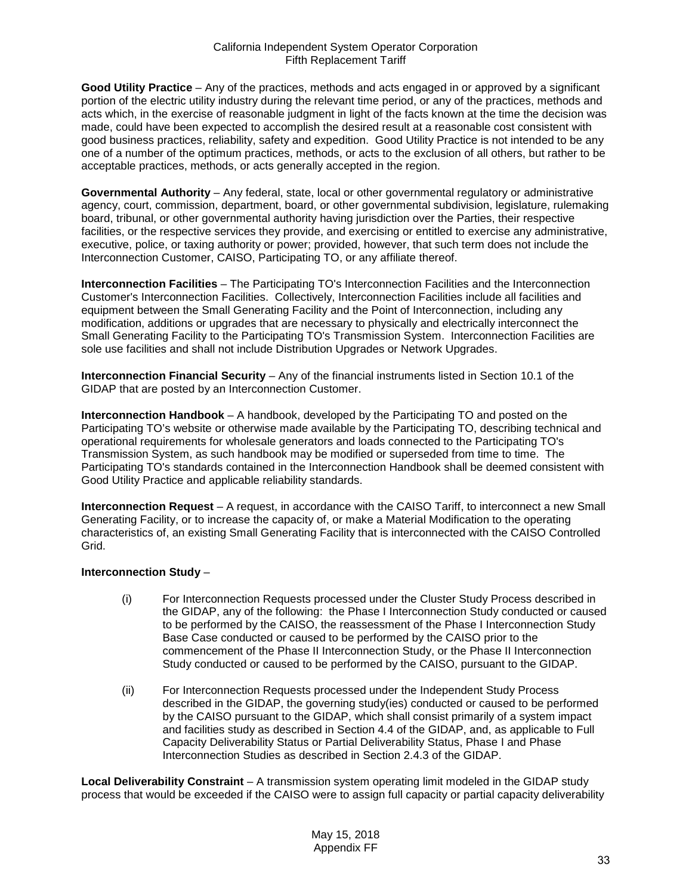**Good Utility Practice** – Any of the practices, methods and acts engaged in or approved by a significant portion of the electric utility industry during the relevant time period, or any of the practices, methods and acts which, in the exercise of reasonable judgment in light of the facts known at the time the decision was made, could have been expected to accomplish the desired result at a reasonable cost consistent with good business practices, reliability, safety and expedition. Good Utility Practice is not intended to be any one of a number of the optimum practices, methods, or acts to the exclusion of all others, but rather to be acceptable practices, methods, or acts generally accepted in the region.

**Governmental Authority** – Any federal, state, local or other governmental regulatory or administrative agency, court, commission, department, board, or other governmental subdivision, legislature, rulemaking board, tribunal, or other governmental authority having jurisdiction over the Parties, their respective facilities, or the respective services they provide, and exercising or entitled to exercise any administrative, executive, police, or taxing authority or power; provided, however, that such term does not include the Interconnection Customer, CAISO, Participating TO, or any affiliate thereof.

**Interconnection Facilities** – The Participating TO's Interconnection Facilities and the Interconnection Customer's Interconnection Facilities. Collectively, Interconnection Facilities include all facilities and equipment between the Small Generating Facility and the Point of Interconnection, including any modification, additions or upgrades that are necessary to physically and electrically interconnect the Small Generating Facility to the Participating TO's Transmission System. Interconnection Facilities are sole use facilities and shall not include Distribution Upgrades or Network Upgrades.

**Interconnection Financial Security** – Any of the financial instruments listed in Section 10.1 of the GIDAP that are posted by an Interconnection Customer.

**Interconnection Handbook** – A handbook, developed by the Participating TO and posted on the Participating TO's website or otherwise made available by the Participating TO, describing technical and operational requirements for wholesale generators and loads connected to the Participating TO's Transmission System, as such handbook may be modified or superseded from time to time. The Participating TO's standards contained in the Interconnection Handbook shall be deemed consistent with Good Utility Practice and applicable reliability standards.

**Interconnection Request** – A request, in accordance with the CAISO Tariff, to interconnect a new Small Generating Facility, or to increase the capacity of, or make a Material Modification to the operating characteristics of, an existing Small Generating Facility that is interconnected with the CAISO Controlled Grid.

## **Interconnection Study** –

- (i) For Interconnection Requests processed under the Cluster Study Process described in the GIDAP, any of the following: the Phase I Interconnection Study conducted or caused to be performed by the CAISO, the reassessment of the Phase I Interconnection Study Base Case conducted or caused to be performed by the CAISO prior to the commencement of the Phase II Interconnection Study, or the Phase II Interconnection Study conducted or caused to be performed by the CAISO, pursuant to the GIDAP.
- (ii) For Interconnection Requests processed under the Independent Study Process described in the GIDAP, the governing study(ies) conducted or caused to be performed by the CAISO pursuant to the GIDAP, which shall consist primarily of a system impact and facilities study as described in Section 4.4 of the GIDAP, and, as applicable to Full Capacity Deliverability Status or Partial Deliverability Status, Phase I and Phase Interconnection Studies as described in Section 2.4.3 of the GIDAP.

**Local Deliverability Constraint** – A transmission system operating limit modeled in the GIDAP study process that would be exceeded if the CAISO were to assign full capacity or partial capacity deliverability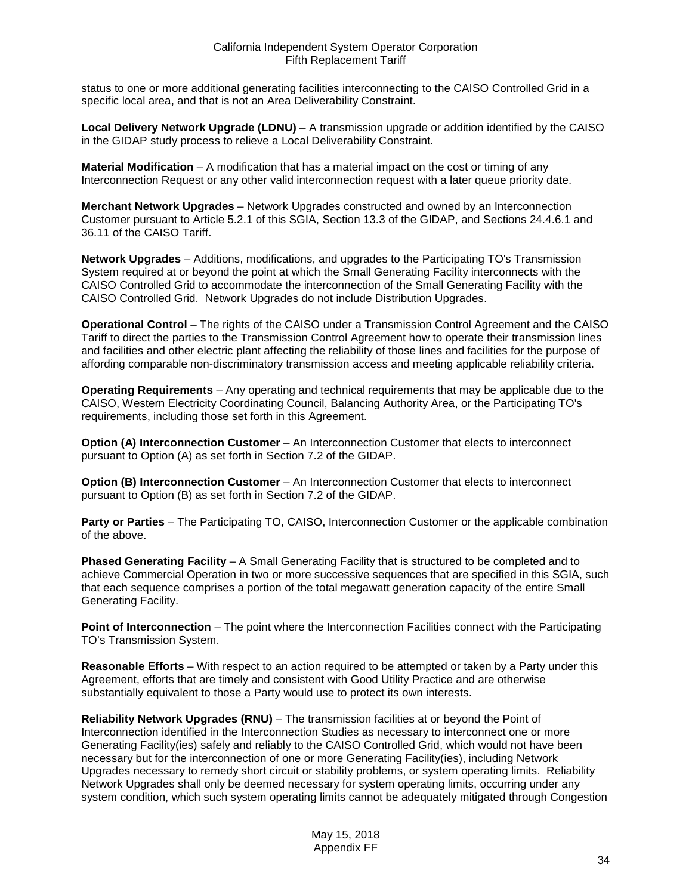status to one or more additional generating facilities interconnecting to the CAISO Controlled Grid in a specific local area, and that is not an Area Deliverability Constraint.

**Local Delivery Network Upgrade (LDNU)** – A transmission upgrade or addition identified by the CAISO in the GIDAP study process to relieve a Local Deliverability Constraint.

**Material Modification** – A modification that has a material impact on the cost or timing of any Interconnection Request or any other valid interconnection request with a later queue priority date.

**Merchant Network Upgrades** – Network Upgrades constructed and owned by an Interconnection Customer pursuant to Article 5.2.1 of this SGIA, Section 13.3 of the GIDAP, and Sections 24.4.6.1 and 36.11 of the CAISO Tariff.

**Network Upgrades** – Additions, modifications, and upgrades to the Participating TO's Transmission System required at or beyond the point at which the Small Generating Facility interconnects with the CAISO Controlled Grid to accommodate the interconnection of the Small Generating Facility with the CAISO Controlled Grid. Network Upgrades do not include Distribution Upgrades.

**Operational Control** – The rights of the CAISO under a Transmission Control Agreement and the CAISO Tariff to direct the parties to the Transmission Control Agreement how to operate their transmission lines and facilities and other electric plant affecting the reliability of those lines and facilities for the purpose of affording comparable non-discriminatory transmission access and meeting applicable reliability criteria.

**Operating Requirements** – Any operating and technical requirements that may be applicable due to the CAISO, Western Electricity Coordinating Council, Balancing Authority Area, or the Participating TO's requirements, including those set forth in this Agreement.

**Option (A) Interconnection Customer** – An Interconnection Customer that elects to interconnect pursuant to Option (A) as set forth in Section 7.2 of the GIDAP.

**Option (B) Interconnection Customer** – An Interconnection Customer that elects to interconnect pursuant to Option (B) as set forth in Section 7.2 of the GIDAP.

**Party or Parties** – The Participating TO, CAISO, Interconnection Customer or the applicable combination of the above.

**Phased Generating Facility** – A Small Generating Facility that is structured to be completed and to achieve Commercial Operation in two or more successive sequences that are specified in this SGIA, such that each sequence comprises a portion of the total megawatt generation capacity of the entire Small Generating Facility.

**Point of Interconnection** – The point where the Interconnection Facilities connect with the Participating TO's Transmission System.

**Reasonable Efforts** – With respect to an action required to be attempted or taken by a Party under this Agreement, efforts that are timely and consistent with Good Utility Practice and are otherwise substantially equivalent to those a Party would use to protect its own interests.

**Reliability Network Upgrades (RNU)** – The transmission facilities at or beyond the Point of Interconnection identified in the Interconnection Studies as necessary to interconnect one or more Generating Facility(ies) safely and reliably to the CAISO Controlled Grid, which would not have been necessary but for the interconnection of one or more Generating Facility(ies), including Network Upgrades necessary to remedy short circuit or stability problems, or system operating limits. Reliability Network Upgrades shall only be deemed necessary for system operating limits, occurring under any system condition, which such system operating limits cannot be adequately mitigated through Congestion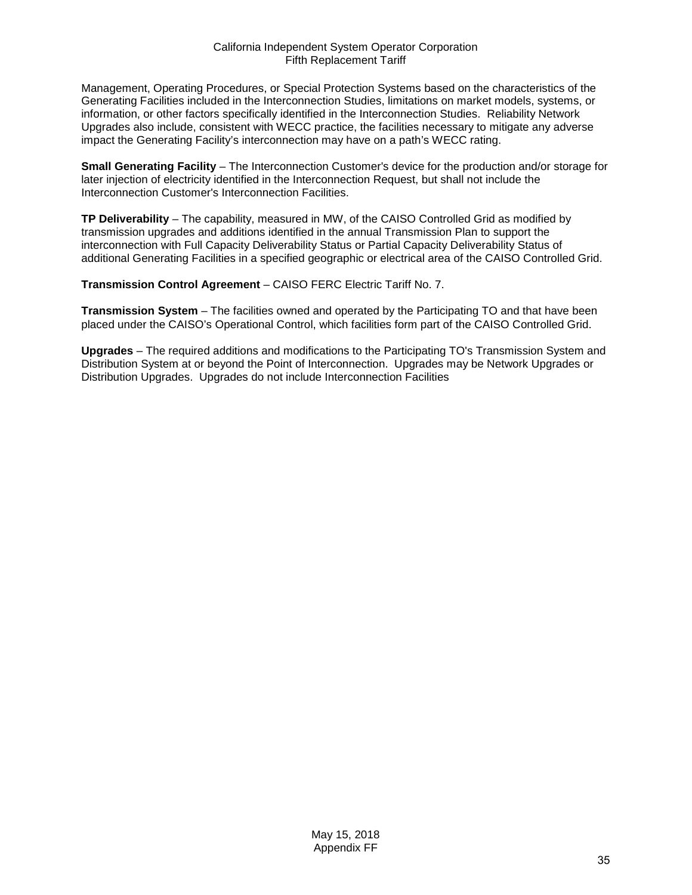Management, Operating Procedures, or Special Protection Systems based on the characteristics of the Generating Facilities included in the Interconnection Studies, limitations on market models, systems, or information, or other factors specifically identified in the Interconnection Studies. Reliability Network Upgrades also include, consistent with WECC practice, the facilities necessary to mitigate any adverse impact the Generating Facility's interconnection may have on a path's WECC rating.

**Small Generating Facility** – The Interconnection Customer's device for the production and/or storage for later injection of electricity identified in the Interconnection Request, but shall not include the Interconnection Customer's Interconnection Facilities.

**TP Deliverability** – The capability, measured in MW, of the CAISO Controlled Grid as modified by transmission upgrades and additions identified in the annual Transmission Plan to support the interconnection with Full Capacity Deliverability Status or Partial Capacity Deliverability Status of additional Generating Facilities in a specified geographic or electrical area of the CAISO Controlled Grid.

**Transmission Control Agreement** – CAISO FERC Electric Tariff No. 7.

**Transmission System** – The facilities owned and operated by the Participating TO and that have been placed under the CAISO's Operational Control, which facilities form part of the CAISO Controlled Grid.

**Upgrades** – The required additions and modifications to the Participating TO's Transmission System and Distribution System at or beyond the Point of Interconnection. Upgrades may be Network Upgrades or Distribution Upgrades. Upgrades do not include Interconnection Facilities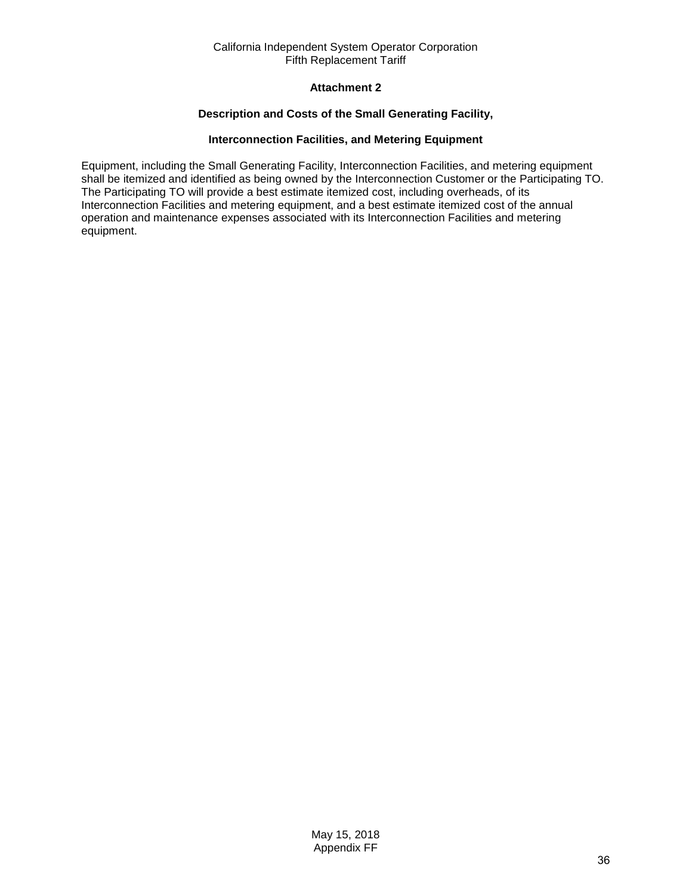# **Attachment 2**

## **Description and Costs of the Small Generating Facility,**

## **Interconnection Facilities, and Metering Equipment**

<span id="page-35-0"></span>Equipment, including the Small Generating Facility, Interconnection Facilities, and metering equipment shall be itemized and identified as being owned by the Interconnection Customer or the Participating TO. The Participating TO will provide a best estimate itemized cost, including overheads, of its Interconnection Facilities and metering equipment, and a best estimate itemized cost of the annual operation and maintenance expenses associated with its Interconnection Facilities and metering equipment.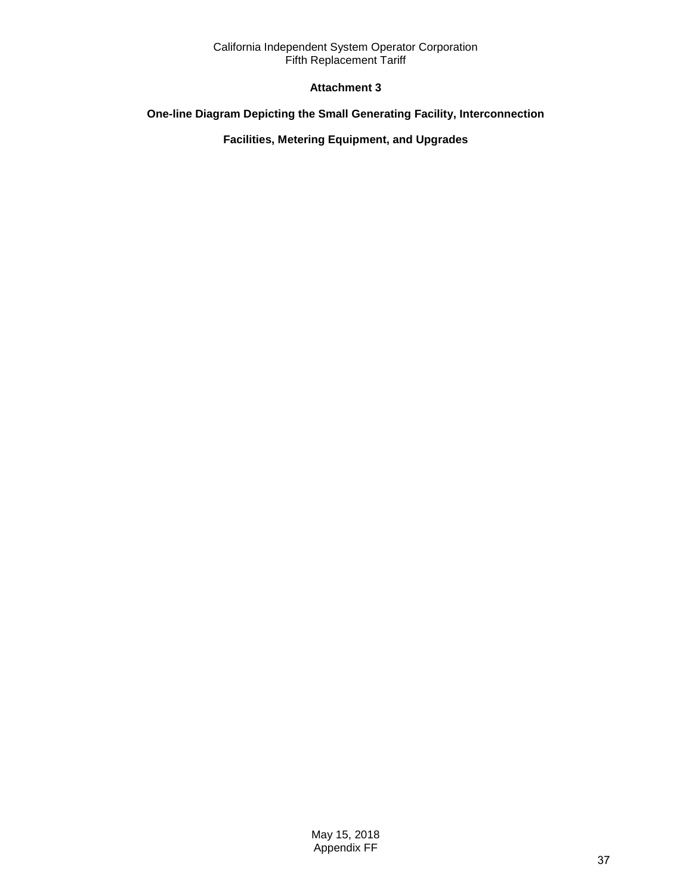# **Attachment 3**

# <span id="page-36-0"></span>**One-line Diagram Depicting the Small Generating Facility, Interconnection**

**Facilities, Metering Equipment, and Upgrades**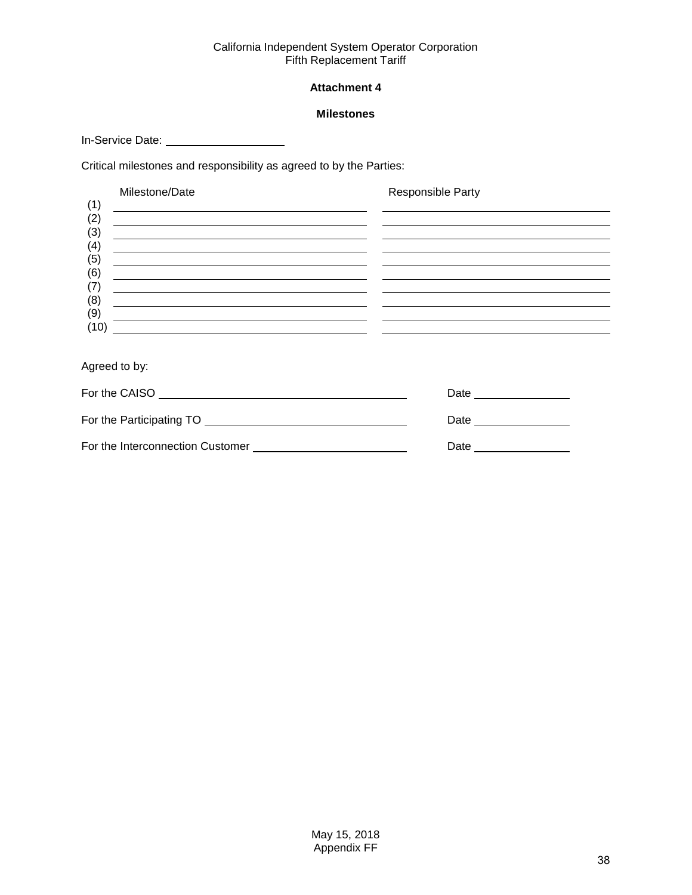# **Attachment 4**

## **Milestones**

<span id="page-37-0"></span>In-Service Date: \_\_\_\_\_\_\_\_\_\_\_\_\_\_\_\_\_\_\_\_\_\_\_\_\_\_

Critical milestones and responsibility as agreed to by the Parties:

|            | Milestone/Date                                                                                                                                                                                                                       | Responsible Party |
|------------|--------------------------------------------------------------------------------------------------------------------------------------------------------------------------------------------------------------------------------------|-------------------|
| (1)<br>(2) |                                                                                                                                                                                                                                      |                   |
| (3)        |                                                                                                                                                                                                                                      |                   |
| (4)<br>(5) | <u>and the company of the company of the company of the company of the company of the company of the company of the company of the company of the company of the company of the company of the company of the company of the com</u> |                   |
| (6)        |                                                                                                                                                                                                                                      |                   |
| (7)<br>(8) |                                                                                                                                                                                                                                      |                   |
| (9)        |                                                                                                                                                                                                                                      |                   |
| (10)       |                                                                                                                                                                                                                                      |                   |
|            |                                                                                                                                                                                                                                      |                   |

Agreed to by:

| For the CAISO                    | Date |
|----------------------------------|------|
| For the Participating TO         | Date |
| For the Interconnection Customer | Date |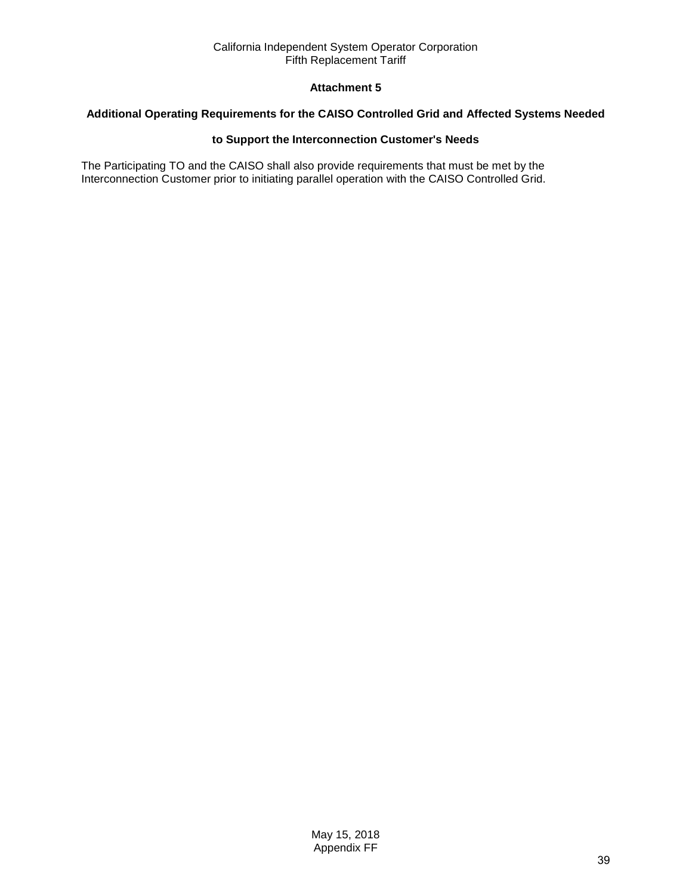# **Attachment 5**

#### <span id="page-38-0"></span>**Additional Operating Requirements for the CAISO Controlled Grid and Affected Systems Needed**

## **to Support the Interconnection Customer's Needs**

The Participating TO and the CAISO shall also provide requirements that must be met by the Interconnection Customer prior to initiating parallel operation with the CAISO Controlled Grid.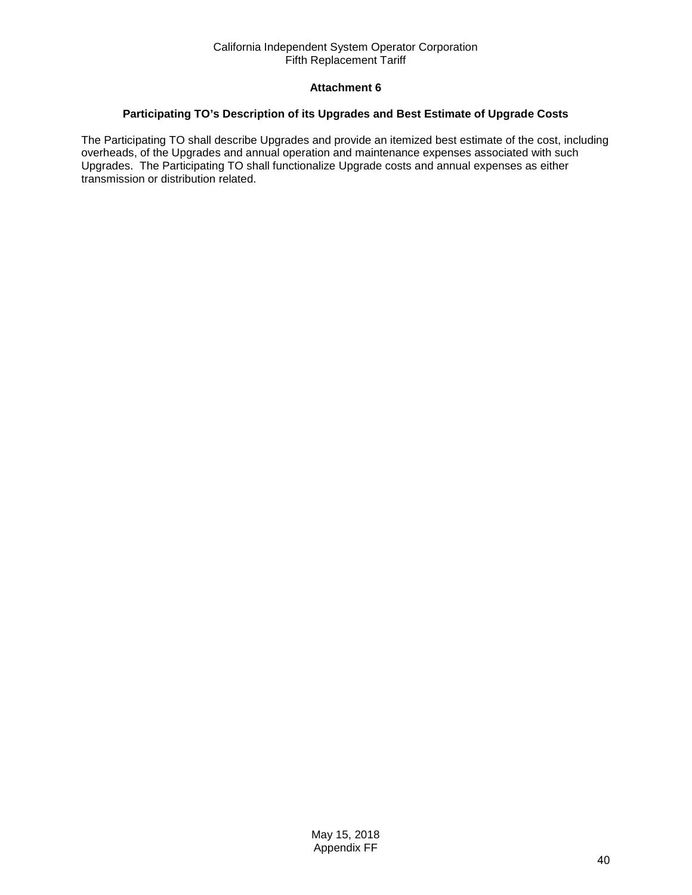## **Attachment 6**

#### <span id="page-39-0"></span>**Participating TO's Description of its Upgrades and Best Estimate of Upgrade Costs**

The Participating TO shall describe Upgrades and provide an itemized best estimate of the cost, including overheads, of the Upgrades and annual operation and maintenance expenses associated with such Upgrades. The Participating TO shall functionalize Upgrade costs and annual expenses as either transmission or distribution related.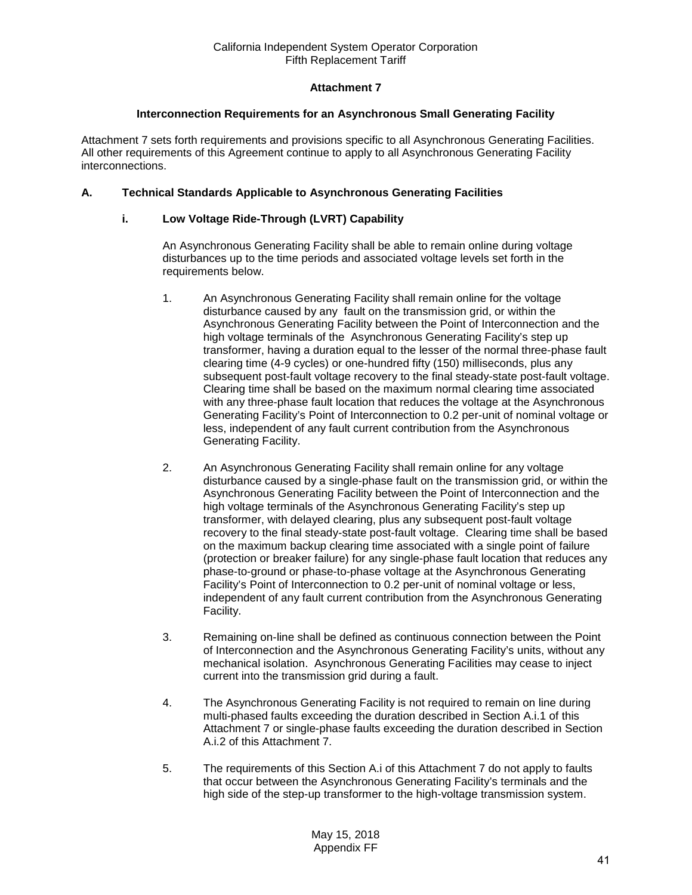# **Attachment 7**

#### **Interconnection Requirements for an Asynchronous Small Generating Facility**

<span id="page-40-0"></span>Attachment 7 sets forth requirements and provisions specific to all Asynchronous Generating Facilities. All other requirements of this Agreement continue to apply to all Asynchronous Generating Facility interconnections.

## **A. Technical Standards Applicable to Asynchronous Generating Facilities**

## **i. Low Voltage Ride-Through (LVRT) Capability**

An Asynchronous Generating Facility shall be able to remain online during voltage disturbances up to the time periods and associated voltage levels set forth in the requirements below.

- 1. An Asynchronous Generating Facility shall remain online for the voltage disturbance caused by any fault on the transmission grid, or within the Asynchronous Generating Facility between the Point of Interconnection and the high voltage terminals of the Asynchronous Generating Facility's step up transformer, having a duration equal to the lesser of the normal three-phase fault clearing time (4-9 cycles) or one-hundred fifty (150) milliseconds, plus any subsequent post-fault voltage recovery to the final steady-state post-fault voltage. Clearing time shall be based on the maximum normal clearing time associated with any three-phase fault location that reduces the voltage at the Asynchronous Generating Facility's Point of Interconnection to 0.2 per-unit of nominal voltage or less, independent of any fault current contribution from the Asynchronous Generating Facility.
- 2. An Asynchronous Generating Facility shall remain online for any voltage disturbance caused by a single-phase fault on the transmission grid, or within the Asynchronous Generating Facility between the Point of Interconnection and the high voltage terminals of the Asynchronous Generating Facility's step up transformer, with delayed clearing, plus any subsequent post-fault voltage recovery to the final steady-state post-fault voltage. Clearing time shall be based on the maximum backup clearing time associated with a single point of failure (protection or breaker failure) for any single-phase fault location that reduces any phase-to-ground or phase-to-phase voltage at the Asynchronous Generating Facility's Point of Interconnection to 0.2 per-unit of nominal voltage or less, independent of any fault current contribution from the Asynchronous Generating Facility.
- 3. Remaining on-line shall be defined as continuous connection between the Point of Interconnection and the Asynchronous Generating Facility's units, without any mechanical isolation. Asynchronous Generating Facilities may cease to inject current into the transmission grid during a fault.
- 4. The Asynchronous Generating Facility is not required to remain on line during multi-phased faults exceeding the duration described in Section A.i.1 of this Attachment 7 or single-phase faults exceeding the duration described in Section A.i.2 of this Attachment 7.
- 5. The requirements of this Section A.i of this Attachment 7 do not apply to faults that occur between the Asynchronous Generating Facility's terminals and the high side of the step-up transformer to the high-voltage transmission system.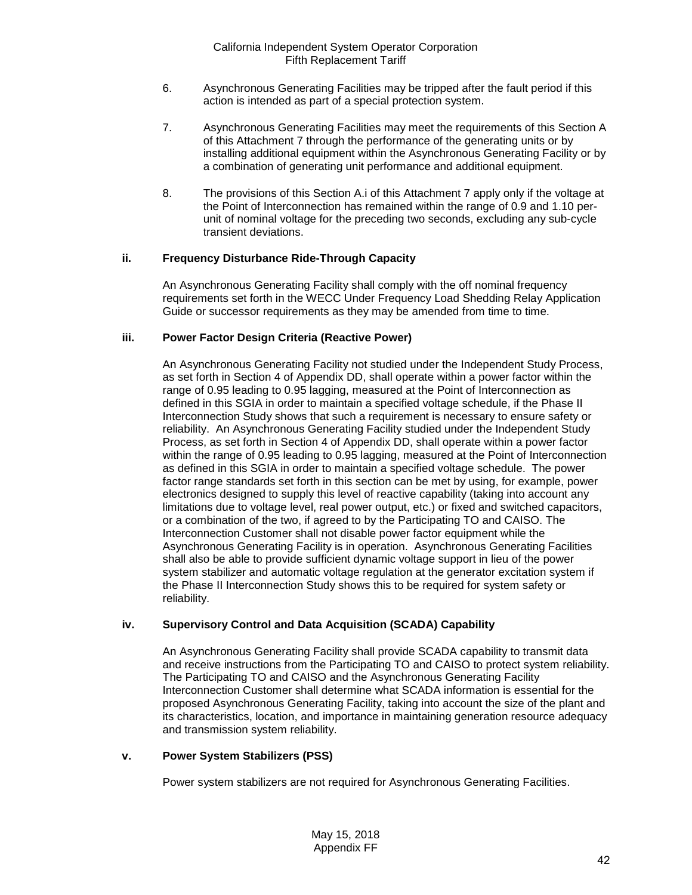- 6. Asynchronous Generating Facilities may be tripped after the fault period if this action is intended as part of a special protection system.
- 7. Asynchronous Generating Facilities may meet the requirements of this Section A of this Attachment 7 through the performance of the generating units or by installing additional equipment within the Asynchronous Generating Facility or by a combination of generating unit performance and additional equipment.
- 8. The provisions of this Section A.i of this Attachment 7 apply only if the voltage at the Point of Interconnection has remained within the range of 0.9 and 1.10 perunit of nominal voltage for the preceding two seconds, excluding any sub-cycle transient deviations.

## **ii. Frequency Disturbance Ride-Through Capacity**

An Asynchronous Generating Facility shall comply with the off nominal frequency requirements set forth in the WECC Under Frequency Load Shedding Relay Application Guide or successor requirements as they may be amended from time to time.

## **iii. Power Factor Design Criteria (Reactive Power)**

An Asynchronous Generating Facility not studied under the Independent Study Process, as set forth in Section 4 of Appendix DD, shall operate within a power factor within the range of 0.95 leading to 0.95 lagging, measured at the Point of Interconnection as defined in this SGIA in order to maintain a specified voltage schedule, if the Phase II Interconnection Study shows that such a requirement is necessary to ensure safety or reliability. An Asynchronous Generating Facility studied under the Independent Study Process, as set forth in Section 4 of Appendix DD, shall operate within a power factor within the range of 0.95 leading to 0.95 lagging, measured at the Point of Interconnection as defined in this SGIA in order to maintain a specified voltage schedule. The power factor range standards set forth in this section can be met by using, for example, power electronics designed to supply this level of reactive capability (taking into account any limitations due to voltage level, real power output, etc.) or fixed and switched capacitors, or a combination of the two, if agreed to by the Participating TO and CAISO. The Interconnection Customer shall not disable power factor equipment while the Asynchronous Generating Facility is in operation. Asynchronous Generating Facilities shall also be able to provide sufficient dynamic voltage support in lieu of the power system stabilizer and automatic voltage regulation at the generator excitation system if the Phase II Interconnection Study shows this to be required for system safety or reliability.

# **iv. Supervisory Control and Data Acquisition (SCADA) Capability**

An Asynchronous Generating Facility shall provide SCADA capability to transmit data and receive instructions from the Participating TO and CAISO to protect system reliability. The Participating TO and CAISO and the Asynchronous Generating Facility Interconnection Customer shall determine what SCADA information is essential for the proposed Asynchronous Generating Facility, taking into account the size of the plant and its characteristics, location, and importance in maintaining generation resource adequacy and transmission system reliability.

## **v. Power System Stabilizers (PSS)**

Power system stabilizers are not required for Asynchronous Generating Facilities.